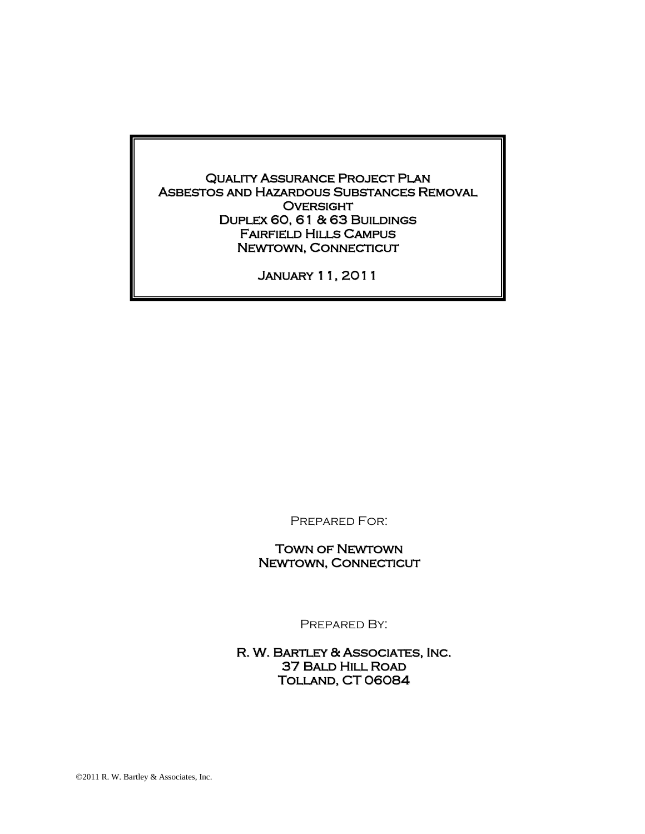Quality Assurance Project Plan Asbestos and Hazardous Substances Removal **OVERSIGHT** Duplex 60, 61 & 63 Buildings Fairfield Hills Campus Newtown, Connecticut

January 11, 2011

Prepared For:

Town of Newtown Newtown, Connecticut

Prepared By:

R. W. Bartley & Associates, Inc. 37 Bald Hill Road Tolland, CT 06084

2011 R. W. Bartley & Associates, Inc.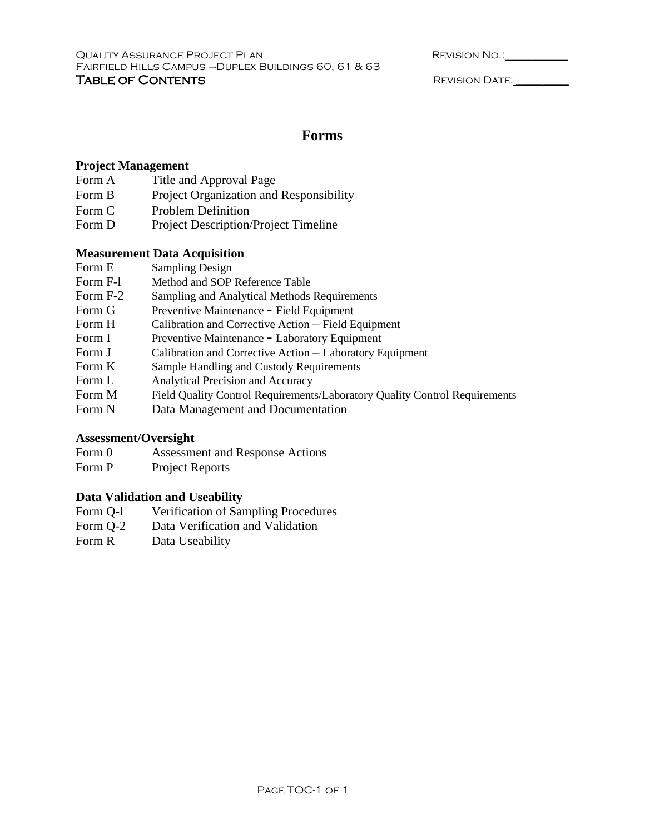| <b>REVISION NO.:</b> |  |
|----------------------|--|
|                      |  |

# **Forms**

# **Project Management**

- Form A Title and Approval Page
- Form B Project Organization and Responsibility
- Form C Problem Definition
- Form D Project Description/Project Timeline

# **Measurement Data Acquisition**

- Form E Sampling Design
- Form F-l Method and SOP Reference Table
- Form F-2 Sampling and Analytical Methods Requirements
- Form G Preventive Maintenance Field Equipment
- Form H Calibration and Corrective Action Field Equipment
- Form I Preventive Maintenance Laboratory Equipment
- Form J Calibration and Corrective Action Laboratory Equipment
- Form K Sample Handling and Custody Requirements
- Form L Analytical Precision and Accuracy
- Form M Field Quality Control Requirements/Laboratory Quality Control Requirements
- Form N Data Management and Documentation

# **Assessment/Oversight**

- Form 0 Assessment and Response Actions
- Form P Project Reports

# **Data Validation and Useability**

- Form Q-l Verification of Sampling Procedures
- Form Q-2 Data Verification and Validation
- Form R Data Useability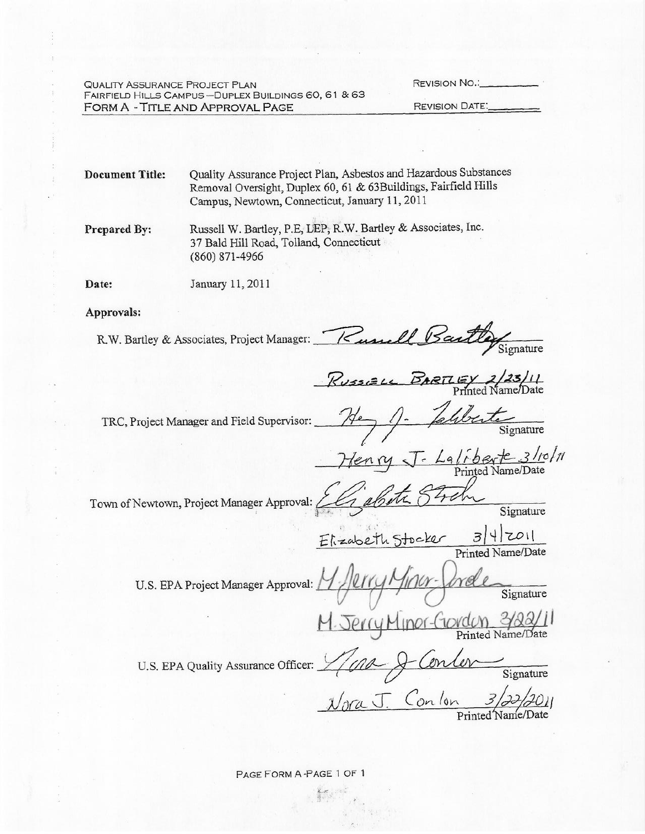**QUALITY ASSURANCE PROJECT PLAN** FAIRFIELD HILLS CAMPUS-DUPLEX BUILDINGS 60, 61 & 63 FORM A - TITLE AND APPROVAL PAGE

**REVISION NO.:** 

**REVISION DATE:** 

Quality Assurance Project Plan, Asbestos and Hazardous Substances **Document Title:** Removal Oversight, Duplex 60, 61 & 63Buildings, Fairfield Hills Campus, Newtown, Connecticut, January 11, 2011

Russell W. Bartley, P.E, LEP, R.W. Bartley & Associates, Inc. Prepared By: 37 Bald Hill Road, Tolland, Connecticut  $(860)$  871-4966

Date: January 11, 2011

Approvals:

Bartley Signature R.W. Bartley & Associates, Project Manager: Kussell

Russiell BARTLEY 2/23/11

TRC, Project Manager and Field Supervisor:

 $Lq/\sqrt{b}$  exte 3/10/11

Town of Newtown, Project Manager Approval: 261

Signature

 $E$ kzabeth Stocker  $3|4|z01|$ 

U.S. EPA Project Manager Approval:

Signature

Jerry Minor-Govdon 3/22/11

U.S. EPA Quality Assurance Officer:

Signature Nora J. Conlon 3/22/2011

PAGE FORM A-PAGE 1 OF 1

 $\frac{1}{2} \sum_{i=1}^n \sum_{j=1}^n \frac{1}{j} \sum_{j=1}^n \frac{1}{j} \sum_{j=1}^n \frac{1}{j} \sum_{j=1}^n \frac{1}{j} \sum_{j=1}^n \frac{1}{j} \sum_{j=1}^n \frac{1}{j} \sum_{j=1}^n \frac{1}{j} \sum_{j=1}^n \frac{1}{j} \sum_{j=1}^n \frac{1}{j} \sum_{j=1}^n \frac{1}{j} \sum_{j=1}^n \frac{1}{j} \sum_{j=1}^n \frac{1}{j} \sum_{j=1}^n \frac{$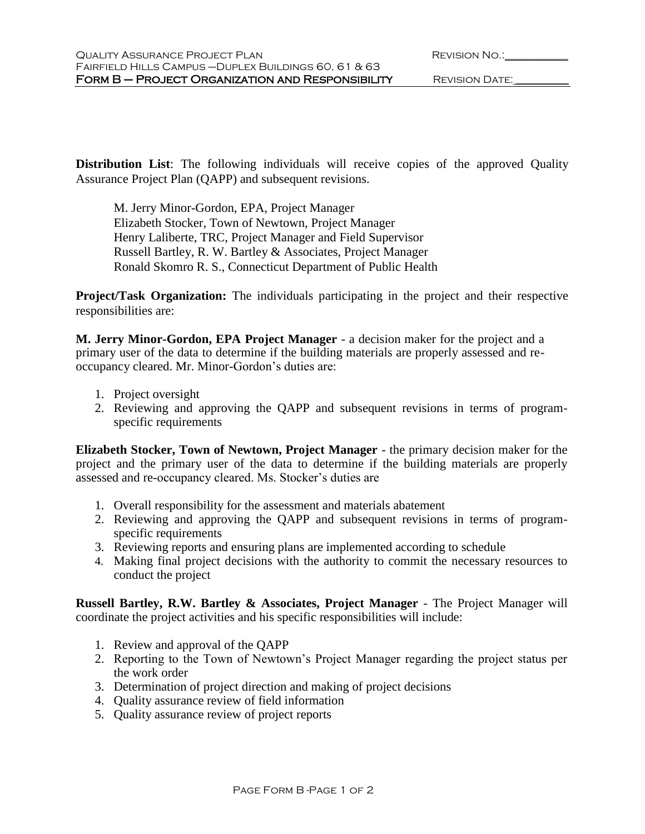**Distribution List**: The following individuals will receive copies of the approved Quality Assurance Project Plan (QAPP) and subsequent revisions.

M. Jerry Minor-Gordon, EPA, Project Manager Elizabeth Stocker, Town of Newtown, Project Manager Henry Laliberte, TRC, Project Manager and Field Supervisor Russell Bartley, R. W. Bartley & Associates, Project Manager Ronald Skomro R. S., Connecticut Department of Public Health

**Project/Task Organization:** The individuals participating in the project and their respective responsibilities are:

**M. Jerry Minor-Gordon, EPA Project Manager** - a decision maker for the project and a primary user of the data to determine if the building materials are properly assessed and reoccupancy cleared. Mr. Minor-Gordon's duties are:

- 1. Project oversight
- 2. Reviewing and approving the QAPP and subsequent revisions in terms of programspecific requirements

**Elizabeth Stocker, Town of Newtown, Project Manager** - the primary decision maker for the project and the primary user of the data to determine if the building materials are properly assessed and re-occupancy cleared. Ms. Stocker's duties are

- 1. Overall responsibility for the assessment and materials abatement
- 2. Reviewing and approving the QAPP and subsequent revisions in terms of programspecific requirements
- 3. Reviewing reports and ensuring plans are implemented according to schedule
- 4. Making final project decisions with the authority to commit the necessary resources to conduct the project

**Russell Bartley, R.W. Bartley & Associates, Project Manager** - The Project Manager will coordinate the project activities and his specific responsibilities will include:

- 1. Review and approval of the QAPP
- 2. Reporting to the Town of Newtown's Project Manager regarding the project status per the work order
- 3. Determination of project direction and making of project decisions
- 4. Quality assurance review of field information
- 5. Quality assurance review of project reports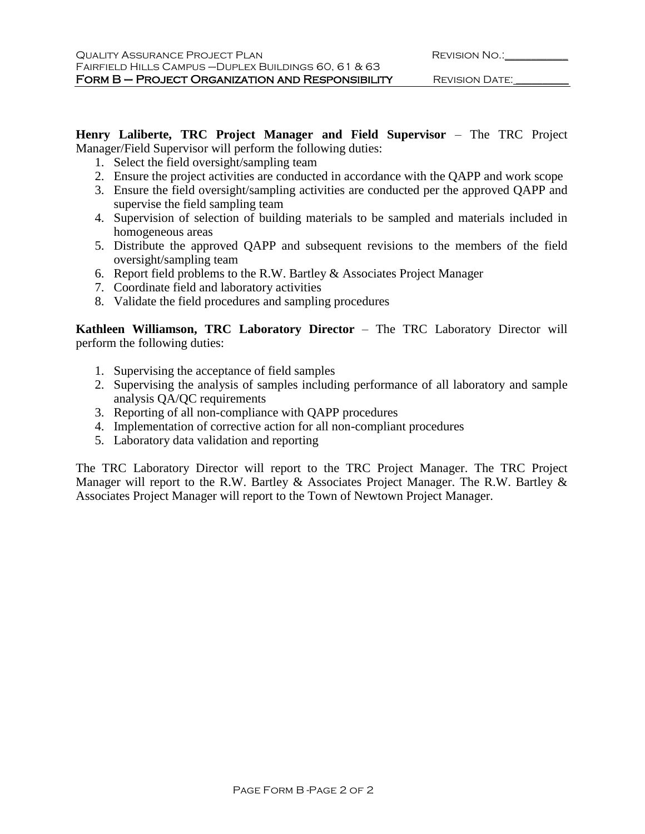**Henry Laliberte, TRC Project Manager and Field Supervisor** – The TRC Project Manager/Field Supervisor will perform the following duties:

- 1. Select the field oversight/sampling team
- 2. Ensure the project activities are conducted in accordance with the QAPP and work scope
- 3. Ensure the field oversight/sampling activities are conducted per the approved QAPP and supervise the field sampling team
- 4. Supervision of selection of building materials to be sampled and materials included in homogeneous areas
- 5. Distribute the approved QAPP and subsequent revisions to the members of the field oversight/sampling team
- 6. Report field problems to the R.W. Bartley  $&$  Associates Project Manager
- 7. Coordinate field and laboratory activities
- 8. Validate the field procedures and sampling procedures

**Kathleen Williamson, TRC Laboratory Director** – The TRC Laboratory Director will perform the following duties:

- 1. Supervising the acceptance of field samples
- 2. Supervising the analysis of samples including performance of all laboratory and sample analysis QA/QC requirements
- 3. Reporting of all non-compliance with QAPP procedures
- 4. Implementation of corrective action for all non-compliant procedures
- 5. Laboratory data validation and reporting

The TRC Laboratory Director will report to the TRC Project Manager. The TRC Project Manager will report to the R.W. Bartley & Associates Project Manager. The R.W. Bartley & Associates Project Manager will report to the Town of Newtown Project Manager.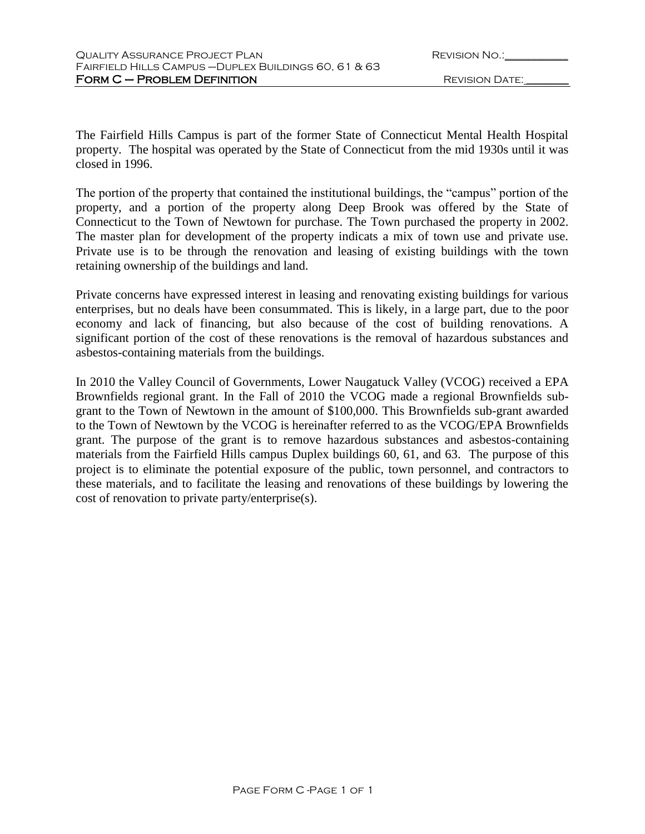| <b>REVISION NO.:</b> |  |
|----------------------|--|
|                      |  |

The Fairfield Hills Campus is part of the former State of Connecticut Mental Health Hospital property. The hospital was operated by the State of Connecticut from the mid 1930s until it was closed in 1996.

The portion of the property that contained the institutional buildings, the "campus" portion of the property, and a portion of the property along Deep Brook was offered by the State of Connecticut to the Town of Newtown for purchase. The Town purchased the property in 2002. The master plan for development of the property indicats a mix of town use and private use. Private use is to be through the renovation and leasing of existing buildings with the town retaining ownership of the buildings and land.

Private concerns have expressed interest in leasing and renovating existing buildings for various enterprises, but no deals have been consummated. This is likely, in a large part, due to the poor economy and lack of financing, but also because of the cost of building renovations. A significant portion of the cost of these renovations is the removal of hazardous substances and asbestos-containing materials from the buildings.

In 2010 the Valley Council of Governments, Lower Naugatuck Valley (VCOG) received a EPA Brownfields regional grant. In the Fall of 2010 the VCOG made a regional Brownfields subgrant to the Town of Newtown in the amount of \$100,000. This Brownfields sub-grant awarded to the Town of Newtown by the VCOG is hereinafter referred to as the VCOG/EPA Brownfields grant. The purpose of the grant is to remove hazardous substances and asbestos-containing materials from the Fairfield Hills campus Duplex buildings 60, 61, and 63. The purpose of this project is to eliminate the potential exposure of the public, town personnel, and contractors to these materials, and to facilitate the leasing and renovations of these buildings by lowering the cost of renovation to private party/enterprise(s).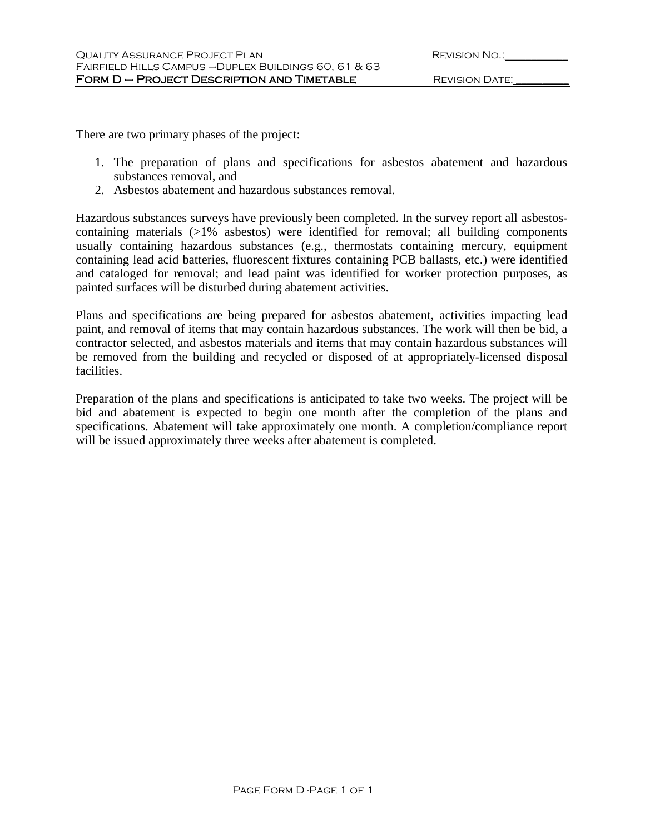There are two primary phases of the project:

- 1. The preparation of plans and specifications for asbestos abatement and hazardous substances removal, and
- 2. Asbestos abatement and hazardous substances removal.

Hazardous substances surveys have previously been completed. In the survey report all asbestoscontaining materials (>1% asbestos) were identified for removal; all building components usually containing hazardous substances (e.g., thermostats containing mercury, equipment containing lead acid batteries, fluorescent fixtures containing PCB ballasts, etc.) were identified and cataloged for removal; and lead paint was identified for worker protection purposes, as painted surfaces will be disturbed during abatement activities.

Plans and specifications are being prepared for asbestos abatement, activities impacting lead paint, and removal of items that may contain hazardous substances. The work will then be bid, a contractor selected, and asbestos materials and items that may contain hazardous substances will be removed from the building and recycled or disposed of at appropriately-licensed disposal facilities.

Preparation of the plans and specifications is anticipated to take two weeks. The project will be bid and abatement is expected to begin one month after the completion of the plans and specifications. Abatement will take approximately one month. A completion/compliance report will be issued approximately three weeks after abatement is completed.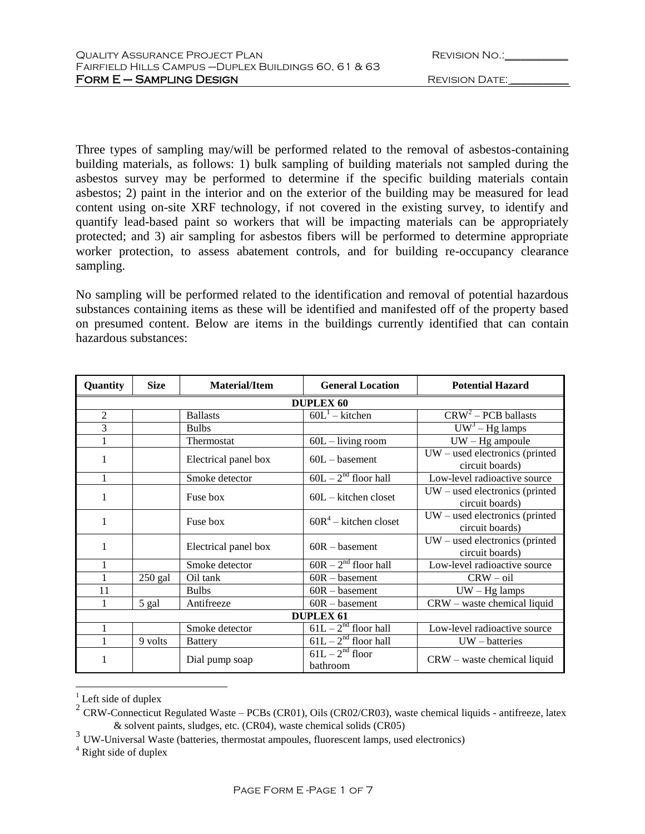| <b>REVISION NO.:</b> |  |
|----------------------|--|
|                      |  |

Three types of sampling may/will be performed related to the removal of asbestos-containing building materials, as follows: 1) bulk sampling of building materials not sampled during the asbestos survey may be performed to determine if the specific building materials contain asbestos; 2) paint in the interior and on the exterior of the building may be measured for lead content using on-site XRF technology, if not covered in the existing survey, to identify and quantify lead-based paint so workers that will be impacting materials can be appropriately protected; and 3) air sampling for asbestos fibers will be performed to determine appropriate worker protection, to assess abatement controls, and for building re-occupancy clearance sampling.

No sampling will be performed related to the identification and removal of potential hazardous substances containing items as these will be identified and manifested off of the property based on presumed content. Below are items in the buildings currently identified that can contain hazardous substances:

| Quantity         | <b>Size</b> | Material/Item        | <b>General Location</b>       | <b>Potential Hazard</b>                             |
|------------------|-------------|----------------------|-------------------------------|-----------------------------------------------------|
|                  |             |                      | <b>DUPLEX 60</b>              |                                                     |
| $\overline{2}$   |             | <b>Ballasts</b>      | $60L^1$ – kitchen             | $CRW2 - PCB$ ballasts                               |
| 3                |             | <b>Bulbs</b>         |                               | $\overline{UW^3 - Hg}$ lamps                        |
| 1                |             | Thermostat           | $60L - living$ room           | $UW - Hg$ ampoule                                   |
| 1                |             | Electrical panel box | $60L -$ basement              | $UW -$ used electronics (printed<br>circuit boards) |
| 1                |             | Smoke detector       | $60L - 2nd$ floor hall        | Low-level radioactive source                        |
| 1                |             | Fuse box             | $60L -$ kitchen closet        | $UW -$ used electronics (printed<br>circuit boards) |
| 1                |             | Fuse box             | $60R^4$ – kitchen closet      | $UW -$ used electronics (printed<br>circuit boards) |
| 1                |             | Electrical panel box | $60R - basement$              | $UW -$ used electronics (printed<br>circuit boards) |
| 1                |             | Smoke detector       | $60R - 2nd$ floor hall        | Low-level radioactive source                        |
| 1                | $250$ gal   | Oil tank             | $60R -$ basement              | $CRW - oil$                                         |
| 11               |             | <b>Bulbs</b>         | $60R -$ basement              | $UW - Hg$ lamps                                     |
| 1                | 5 gal       | Antifreeze           | $60R -$ basement              | $CRW$ – waste chemical liquid                       |
| <b>DUPLEX 61</b> |             |                      |                               |                                                     |
| 1                |             | Smoke detector       | $61L - 2nd$ floor hall        | Low-level radioactive source                        |
| 1                | 9 volts     | <b>Battery</b>       | $61L - 2^{nd}$ floor hall     | $UW - batteries$                                    |
| 1                |             | Dial pump soap       | $61L - 2nd$ floor<br>bathroom | $CRW$ – waste chemical liquid                       |

 $<sup>1</sup>$  Left side of duplex</sup>

 $\overline{a}$ 

<sup>&</sup>lt;sup>2</sup> CRW-Connecticut Regulated Waste – PCBs (CR01), Oils (CR02/CR03), waste chemical liquids - antifreeze, latex & solvent paints, sludges, etc. (CR04), waste chemical solids (CR05)

<sup>&</sup>lt;sup>3</sup> UW-Universal Waste (batteries, thermostat ampoules, fluorescent lamps, used electronics)

<sup>4</sup> Right side of duplex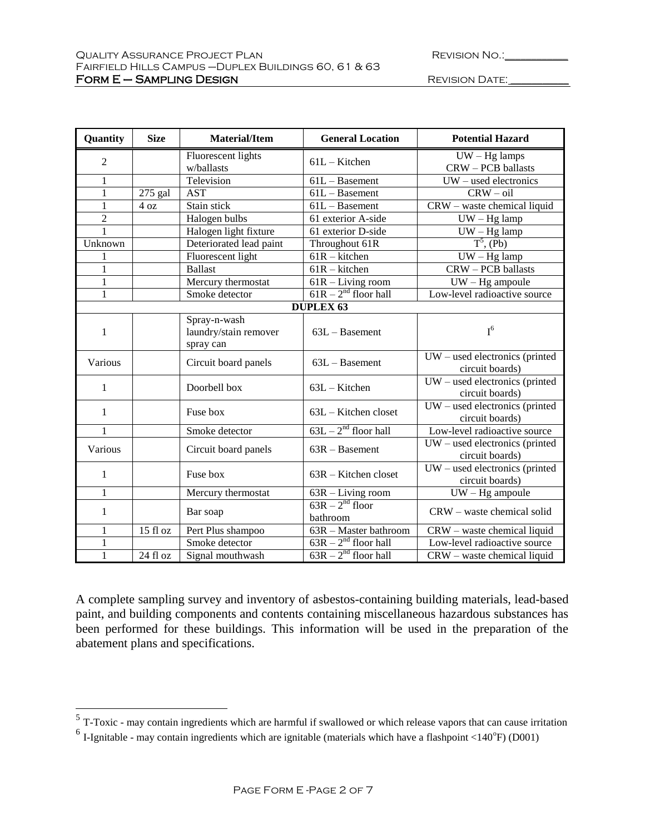| <b>REVISION NO.:</b> |  |
|----------------------|--|
|                      |  |

| Quantity         | <b>Size</b> | <b>Material/Item</b>                               | <b>General Location</b>            | <b>Potential Hazard</b>                             |
|------------------|-------------|----------------------------------------------------|------------------------------------|-----------------------------------------------------|
| $\overline{2}$   |             | Fluorescent lights<br>w/ballasts                   | $61L -$ Kitchen                    | $UW - Hg$ lamps<br>CRW - PCB ballasts               |
| 1                |             | Television                                         | $61L -$ Basement                   | $UW -$ used electronics                             |
| $\mathbf{1}$     | $275$ gal   | <b>AST</b>                                         | $61L - Basement$                   | $CRW - oil$                                         |
| 1                | 4 oz        | Stain stick                                        | $61L -$ Basement                   | $CRW$ – waste chemical liquid                       |
| $\overline{2}$   |             | Halogen bulbs                                      | 61 exterior A-side                 | $UW - Hg$ lamp                                      |
| $\overline{1}$   |             | Halogen light fixture                              | 61 exterior D-side                 | $UW - Hg$ lamp                                      |
| Unknown          |             | Deteriorated lead paint                            | Throughout 61R                     | $T^5$ , (Pb)                                        |
| 1                |             | Fluorescent light                                  | $61R - k$ itchen                   | $UW - Hg$ lamp                                      |
| $\mathbf{1}$     |             | <b>Ballast</b>                                     | $\overline{61R}$ – kitchen         | <b>CRW-PCB</b> ballasts                             |
| $\mathbf{1}$     |             | Mercury thermostat                                 | 61R - Living room                  | $UW - Hg$ ampoule                                   |
| $\mathbf{1}$     |             | Smoke detector                                     | $61R - 2nd$ floor hall             | Low-level radioactive source                        |
| <b>DUPLEX 63</b> |             |                                                    |                                    |                                                     |
| $\mathbf{1}$     |             | Spray-n-wash<br>laundry/stain remover<br>spray can | $63L -$ Basement                   | $I^6$                                               |
| Various          |             | Circuit board panels                               | $63L -$ Basement                   | $UW -$ used electronics (printed<br>circuit boards) |
| $\mathbf{1}$     |             | Doorbell box                                       | $63L - K$ itchen                   | $UW -$ used electronics (printed<br>circuit boards) |
| $\mathbf{1}$     |             | Fuse box                                           | $63L -$ Kitchen closet             | $UW -$ used electronics (printed<br>circuit boards) |
| 1                |             | Smoke detector                                     | $63L - 2nd$ floor hall             | Low-level radioactive source                        |
| Various          |             | Circuit board panels                               | $63R - Basement$                   | $UW -$ used electronics (printed<br>circuit boards) |
| 1                |             | Fuse box                                           | $63R$ – Kitchen closet             | $UW -$ used electronics (printed<br>circuit boards) |
| $\mathbf{1}$     |             | Mercury thermostat                                 | $63R - Living room$                | $UW - Hg$ ampoule                                   |
| $\mathbf{1}$     |             | Bar soap                                           | $63R - 2nd$ floor<br>bathroom      | CRW - waste chemical solid                          |
| $\mathbf{1}$     | 15 fl oz    | Pert Plus shampoo                                  | $\overline{63R}$ – Master bathroom | CRW - waste chemical liquid                         |
| $\mathbf{1}$     |             | Smoke detector                                     | $63R - 2nd$ floor hall             | Low-level radioactive source                        |
| $\mathbf{1}$     | 24 fl oz    | Signal mouthwash                                   | $63R - 2nd$ floor hall             | CRW - waste chemical liquid                         |

A complete sampling survey and inventory of asbestos-containing building materials, lead-based paint, and building components and contents containing miscellaneous hazardous substances has been performed for these buildings. This information will be used in the preparation of the abatement plans and specifications.

<sup>&</sup>lt;sup>5</sup> T-Toxic - may contain ingredients which are harmful if swallowed or which release vapors that can cause irritation

 $<sup>6</sup>$  I-Ignitable - may contain ingredients which are ignitable (materials which have a flashpoint <140 $\degree$ F) (D001)</sup>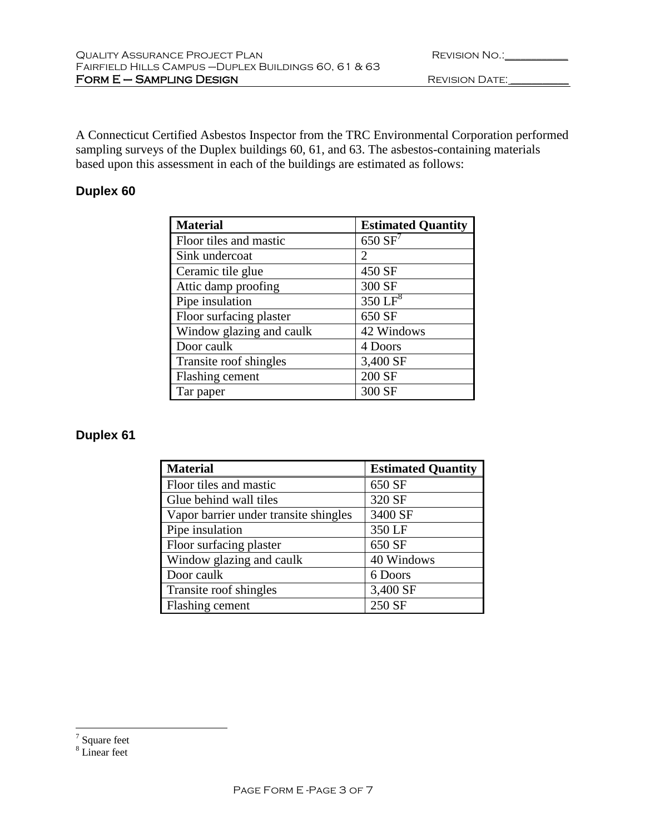| <b>REVISION NO.:</b> |  |
|----------------------|--|
|                      |  |

A Connecticut Certified Asbestos Inspector from the TRC Environmental Corporation performed sampling surveys of the Duplex buildings 60, 61, and 63. The asbestos-containing materials based upon this assessment in each of the buildings are estimated as follows:

# **Duplex 60**

| <b>Material</b>          | <b>Estimated Quantity</b> |
|--------------------------|---------------------------|
| Floor tiles and mastic   | $650 S\overline{F}$       |
| Sink undercoat           | $\mathcal{D}_{\cdot}$     |
| Ceramic tile glue        | 450 SF                    |
| Attic damp proofing      | 300 SF                    |
| Pipe insulation          | $350 \mathrm{LF}^8$       |
| Floor surfacing plaster  | 650 SF                    |
| Window glazing and caulk | 42 Windows                |
| Door caulk               | 4 Doors                   |
| Transite roof shingles   | 3,400 SF                  |
| Flashing cement          | 200 SF                    |
| Tar paper                | 300 SF                    |

# **Duplex 61**

| <b>Material</b>                       | <b>Estimated Quantity</b> |
|---------------------------------------|---------------------------|
| Floor tiles and mastic                | 650 SF                    |
| Glue behind wall tiles                | 320 SF                    |
| Vapor barrier under transite shingles | 3400 SF                   |
| Pipe insulation                       | 350 LF                    |
| Floor surfacing plaster               | 650 SF                    |
| Window glazing and caulk              | 40 Windows                |
| Door caulk                            | 6 Doors                   |
| Transite roof shingles                | 3,400 SF                  |
| Flashing cement                       | 250 SF                    |

 $\overline{a}$ 

<sup>&</sup>lt;sup>7</sup> Square feet

 $8$  Linear feet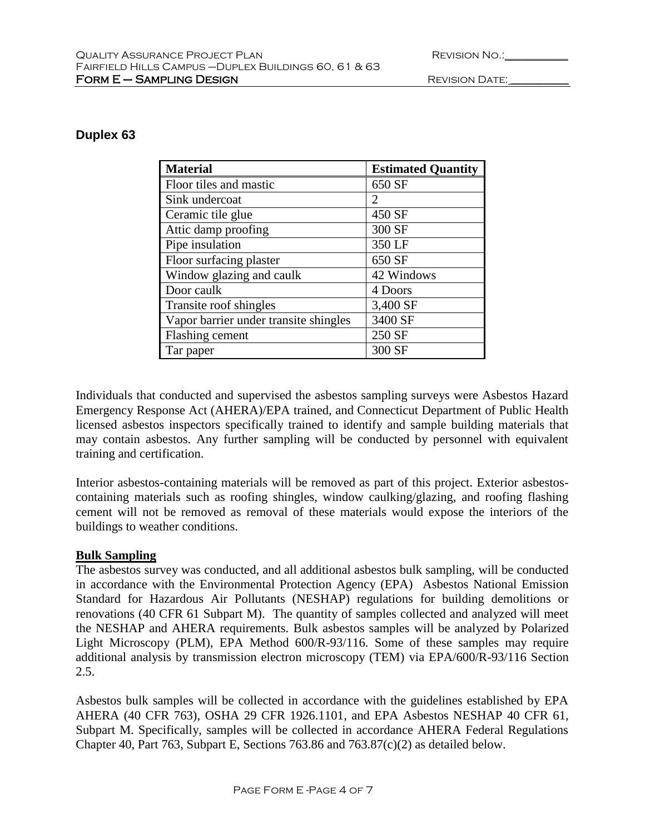| <b>REVISION NO.:</b> |  |
|----------------------|--|
|                      |  |

# **Duplex 63**

| <b>Material</b>                       | <b>Estimated Quantity</b> |
|---------------------------------------|---------------------------|
| Floor tiles and mastic                | 650 SF                    |
| Sink undercoat                        | 2                         |
| Ceramic tile glue                     | 450 SF                    |
| Attic damp proofing                   | 300 SF                    |
| Pipe insulation                       | 350 LF                    |
| Floor surfacing plaster               | 650 SF                    |
| Window glazing and caulk              | 42 Windows                |
| Door caulk                            | 4 Doors                   |
| Transite roof shingles                | 3,400 SF                  |
| Vapor barrier under transite shingles | 3400 SF                   |
| Flashing cement                       | 250 SF                    |
| Tar paper                             | 300 SF                    |

Individuals that conducted and supervised the asbestos sampling surveys were Asbestos Hazard Emergency Response Act (AHERA)/EPA trained, and Connecticut Department of Public Health licensed asbestos inspectors specifically trained to identify and sample building materials that may contain asbestos. Any further sampling will be conducted by personnel with equivalent training and certification.

Interior asbestos-containing materials will be removed as part of this project. Exterior asbestoscontaining materials such as roofing shingles, window caulking/glazing, and roofing flashing cement will not be removed as removal of these materials would expose the interiors of the buildings to weather conditions.

# **Bulk Sampling**

The asbestos survey was conducted, and all additional asbestos bulk sampling, will be conducted in accordance with the Environmental Protection Agency (EPA) Asbestos National Emission Standard for Hazardous Air Pollutants (NESHAP) regulations for building demolitions or renovations (40 CFR 61 Subpart M). The quantity of samples collected and analyzed will meet the NESHAP and AHERA requirements. Bulk asbestos samples will be analyzed by Polarized Light Microscopy (PLM), EPA Method 600/R-93/116. Some of these samples may require additional analysis by transmission electron microscopy (TEM) via EPA/600/R-93/116 Section 2.5.

Asbestos bulk samples will be collected in accordance with the guidelines established by EPA AHERA (40 CFR 763), OSHA 29 CFR 1926.1101, and EPA Asbestos NESHAP 40 CFR 61, Subpart M. Specifically, samples will be collected in accordance AHERA Federal Regulations Chapter 40, Part 763, Subpart E, Sections 763.86 and 763.87(c)(2) as detailed below.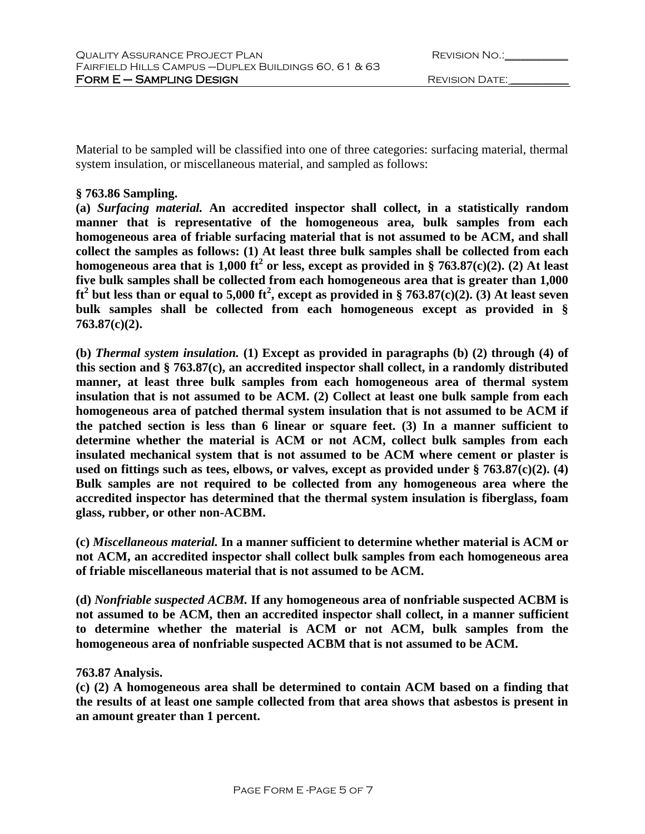| <b>REVISION NO.:</b> |  |
|----------------------|--|
|                      |  |

Material to be sampled will be classified into one of three categories: surfacing material, thermal system insulation, or miscellaneous material, and sampled as follows:

### **§ 763.86 Sampling.**

**(a)** *Surfacing material.* **An accredited inspector shall collect, in a statistically random manner that is representative of the homogeneous area, bulk samples from each homogeneous area of friable surfacing material that is not assumed to be ACM, and shall collect the samples as follows: (1) At least three bulk samples shall be collected from each homogeneous area that is 1,000 ft<sup>2</sup> or less, except as provided in § 763.87(c)(2). (2) At least five bulk samples shall be collected from each homogeneous area that is greater than 1,000 ft2 but less than or equal to 5,000 ft<sup>2</sup> , except as provided in § 763.87(c)(2). (3) At least seven bulk samples shall be collected from each homogeneous except as provided in § 763.87(c)(2).**

**(b)** *Thermal system insulation.* **(1) Except as provided in paragraphs (b) (2) through (4) of this section and § 763.87(c), an accredited inspector shall collect, in a randomly distributed manner, at least three bulk samples from each homogeneous area of thermal system insulation that is not assumed to be ACM. (2) Collect at least one bulk sample from each homogeneous area of patched thermal system insulation that is not assumed to be ACM if the patched section is less than 6 linear or square feet. (3) In a manner sufficient to determine whether the material is ACM or not ACM, collect bulk samples from each insulated mechanical system that is not assumed to be ACM where cement or plaster is used on fittings such as tees, elbows, or valves, except as provided under § 763.87(c)(2). (4) Bulk samples are not required to be collected from any homogeneous area where the accredited inspector has determined that the thermal system insulation is fiberglass, foam glass, rubber, or other non-ACBM.**

**(c)** *Miscellaneous material.* **In a manner sufficient to determine whether material is ACM or not ACM, an accredited inspector shall collect bulk samples from each homogeneous area of friable miscellaneous material that is not assumed to be ACM.**

**(d)** *Nonfriable suspected ACBM.* **If any homogeneous area of nonfriable suspected ACBM is not assumed to be ACM, then an accredited inspector shall collect, in a manner sufficient to determine whether the material is ACM or not ACM, bulk samples from the homogeneous area of nonfriable suspected ACBM that is not assumed to be ACM.**

# **763.87 Analysis.**

**(c) (2) A homogeneous area shall be determined to contain ACM based on a finding that the results of at least one sample collected from that area shows that asbestos is present in an amount greater than 1 percent.**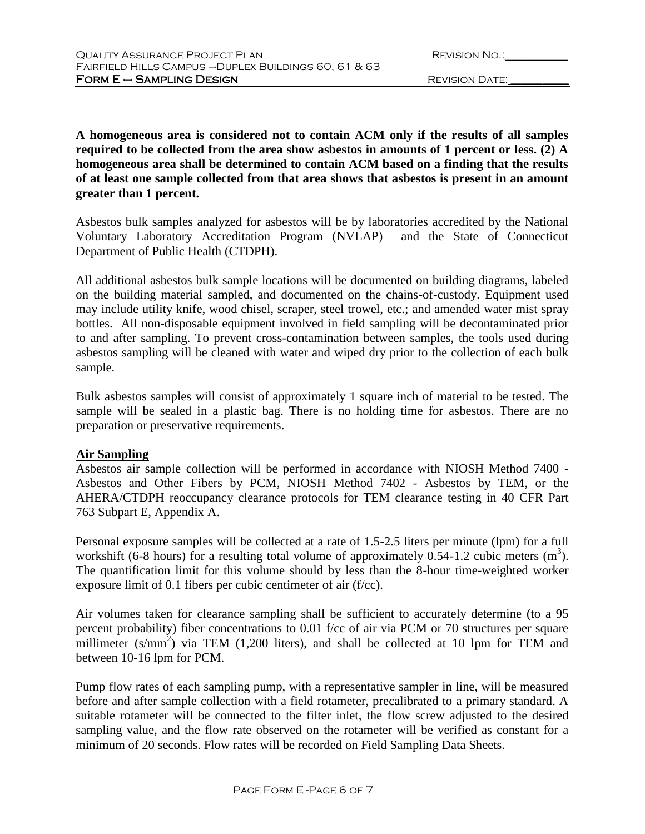**A homogeneous area is considered not to contain ACM only if the results of all samples required to be collected from the area show asbestos in amounts of 1 percent or less. (2) A homogeneous area shall be determined to contain ACM based on a finding that the results of at least one sample collected from that area shows that asbestos is present in an amount greater than 1 percent.** 

Asbestos bulk samples analyzed for asbestos will be by laboratories accredited by the National Voluntary Laboratory Accreditation Program (NVLAP) and the State of Connecticut Department of Public Health (CTDPH).

All additional asbestos bulk sample locations will be documented on building diagrams, labeled on the building material sampled, and documented on the chains-of-custody. Equipment used may include utility knife, wood chisel, scraper, steel trowel, etc.; and amended water mist spray bottles. All non-disposable equipment involved in field sampling will be decontaminated prior to and after sampling. To prevent cross-contamination between samples, the tools used during asbestos sampling will be cleaned with water and wiped dry prior to the collection of each bulk sample.

Bulk asbestos samples will consist of approximately 1 square inch of material to be tested. The sample will be sealed in a plastic bag. There is no holding time for asbestos. There are no preparation or preservative requirements.

# **Air Sampling**

Asbestos air sample collection will be performed in accordance with NIOSH Method 7400 - Asbestos and Other Fibers by PCM, NIOSH Method 7402 - Asbestos by TEM, or the AHERA/CTDPH reoccupancy clearance protocols for TEM clearance testing in 40 CFR Part 763 Subpart E, Appendix A.

Personal exposure samples will be collected at a rate of 1.5-2.5 liters per minute (lpm) for a full workshift (6-8 hours) for a resulting total volume of approximately 0.54-1.2 cubic meters  $(m^3)$ . The quantification limit for this volume should by less than the 8-hour time-weighted worker exposure limit of 0.1 fibers per cubic centimeter of air (f/cc).

Air volumes taken for clearance sampling shall be sufficient to accurately determine (to a 95 percent probability) fiber concentrations to 0.01 f/cc of air via PCM or 70 structures per square millimeter  $(s/mm^2)$  via TEM (1,200 liters), and shall be collected at 10 lpm for TEM and between 10-16 lpm for PCM.

Pump flow rates of each sampling pump, with a representative sampler in line, will be measured before and after sample collection with a field rotameter, precalibrated to a primary standard. A suitable rotameter will be connected to the filter inlet, the flow screw adjusted to the desired sampling value, and the flow rate observed on the rotameter will be verified as constant for a minimum of 20 seconds. Flow rates will be recorded on Field Sampling Data Sheets.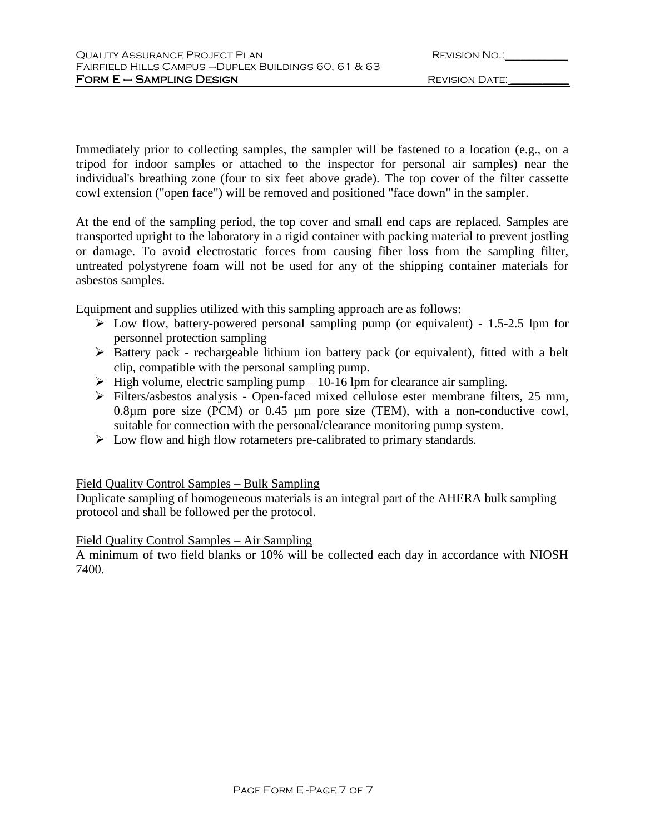| <b>REVISION NO.:</b> |  |
|----------------------|--|
|                      |  |

Immediately prior to collecting samples, the sampler will be fastened to a location (e.g., on a tripod for indoor samples or attached to the inspector for personal air samples) near the individual's breathing zone (four to six feet above grade). The top cover of the filter cassette cowl extension ("open face") will be removed and positioned "face down" in the sampler.

At the end of the sampling period, the top cover and small end caps are replaced. Samples are transported upright to the laboratory in a rigid container with packing material to prevent jostling or damage. To avoid electrostatic forces from causing fiber loss from the sampling filter, untreated polystyrene foam will not be used for any of the shipping container materials for asbestos samples.

Equipment and supplies utilized with this sampling approach are as follows:

- $\triangleright$  Low flow, battery-powered personal sampling pump (or equivalent) 1.5-2.5 lpm for personnel protection sampling
- Battery pack rechargeable lithium ion battery pack (or equivalent), fitted with a belt clip, compatible with the personal sampling pump.
- $\triangleright$  High volume, electric sampling pump 10-16 lpm for clearance air sampling.
- Filters/asbestos analysis Open-faced mixed cellulose ester membrane filters, 25 mm, 0.8µm pore size (PCM) or 0.45 µm pore size (TEM), with a non-conductive cowl, suitable for connection with the personal/clearance monitoring pump system.
- $\triangleright$  Low flow and high flow rotameters pre-calibrated to primary standards.

# Field Quality Control Samples – Bulk Sampling

Duplicate sampling of homogeneous materials is an integral part of the AHERA bulk sampling protocol and shall be followed per the protocol.

# Field Quality Control Samples – Air Sampling

A minimum of two field blanks or 10% will be collected each day in accordance with NIOSH 7400.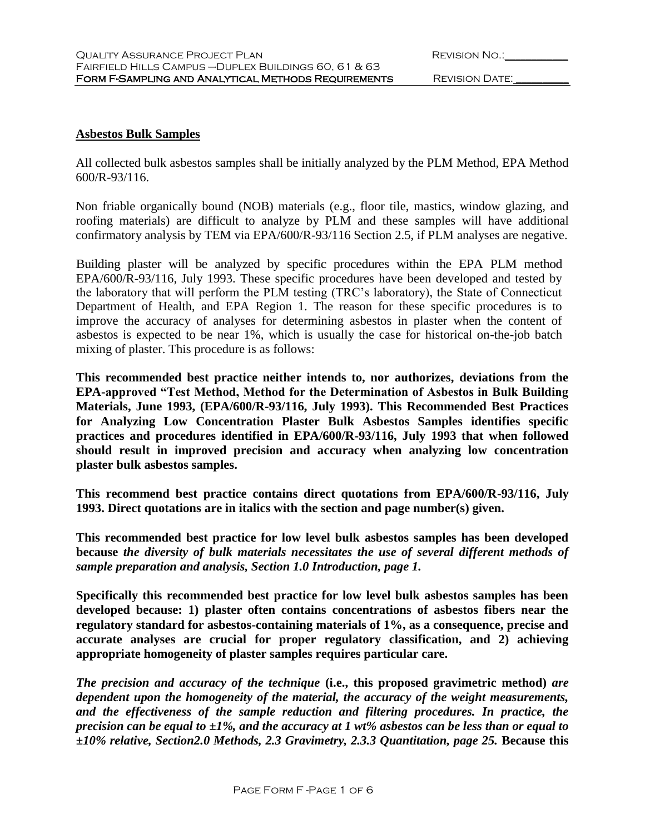| <b>REVISION NO.:</b> |  |
|----------------------|--|
|                      |  |

#### **Asbestos Bulk Samples**

All collected bulk asbestos samples shall be initially analyzed by the PLM Method, EPA Method 600/R-93/116.

Non friable organically bound (NOB) materials (e.g., floor tile, mastics, window glazing, and roofing materials) are difficult to analyze by PLM and these samples will have additional confirmatory analysis by TEM via EPA/600/R-93/116 Section 2.5, if PLM analyses are negative.

Building plaster will be analyzed by specific procedures within the EPA PLM method EPA/600/R-93/116, July 1993. These specific procedures have been developed and tested by the laboratory that will perform the PLM testing (TRC's laboratory), the State of Connecticut Department of Health, and EPA Region 1. The reason for these specific procedures is to improve the accuracy of analyses for determining asbestos in plaster when the content of asbestos is expected to be near 1%, which is usually the case for historical on-the-job batch mixing of plaster. This procedure is as follows:

**This recommended best practice neither intends to, nor authorizes, deviations from the EPA-approved "Test Method, Method for the Determination of Asbestos in Bulk Building Materials, June 1993, (EPA/600/R-93/116, July 1993). This Recommended Best Practices for Analyzing Low Concentration Plaster Bulk Asbestos Samples identifies specific practices and procedures identified in EPA/600/R-93/116, July 1993 that when followed should result in improved precision and accuracy when analyzing low concentration plaster bulk asbestos samples.** 

**This recommend best practice contains direct quotations from EPA/600/R-93/116, July 1993. Direct quotations are in italics with the section and page number(s) given.**

**This recommended best practice for low level bulk asbestos samples has been developed because** *the diversity of bulk materials necessitates the use of several different methods of sample preparation and analysis, Section 1.0 Introduction, page 1.*

**Specifically this recommended best practice for low level bulk asbestos samples has been developed because: 1) plaster often contains concentrations of asbestos fibers near the regulatory standard for asbestos-containing materials of 1%, as a consequence, precise and accurate analyses are crucial for proper regulatory classification, and 2) achieving appropriate homogeneity of plaster samples requires particular care.**

*The precision and accuracy of the technique* **(i.e., this proposed gravimetric method)** *are dependent upon the homogeneity of the material, the accuracy of the weight measurements, and the effectiveness of the sample reduction and filtering procedures. In practice, the precision can be equal to* **±***1%, and the accuracy at 1 wt% asbestos can be less than or equal to*  **±***10% relative, Section2.0 Methods, 2.3 Gravimetry, 2.3.3 Quantitation, page 25.* **Because this**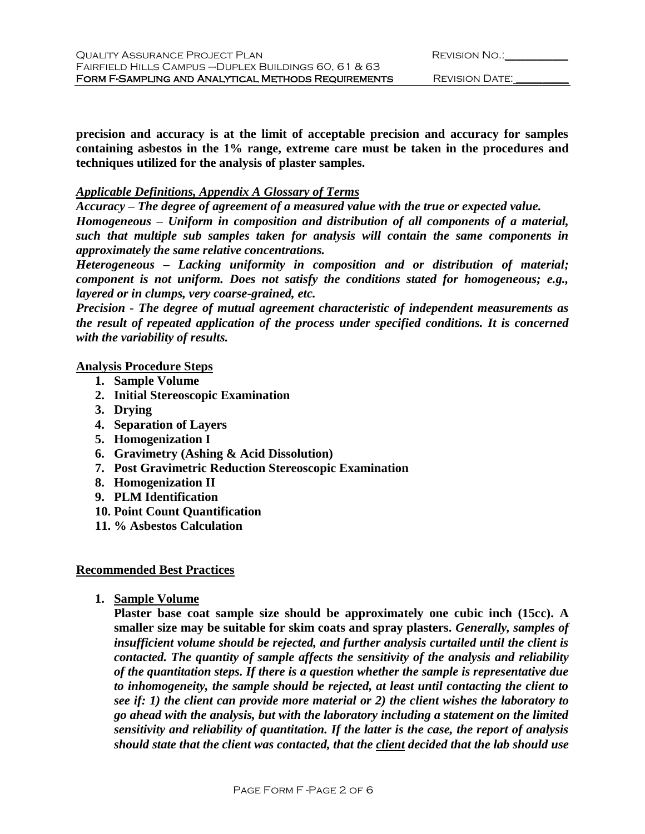**precision and accuracy is at the limit of acceptable precision and accuracy for samples containing asbestos in the 1% range, extreme care must be taken in the procedures and techniques utilized for the analysis of plaster samples.** 

### *Applicable Definitions, Appendix A Glossary of Terms*

*Accuracy – The degree of agreement of a measured value with the true or expected value. Homogeneous – Uniform in composition and distribution of all components of a material, such that multiple sub samples taken for analysis will contain the same components in approximately the same relative concentrations.*

*Heterogeneous – Lacking uniformity in composition and or distribution of material; component is not uniform. Does not satisfy the conditions stated for homogeneous; e.g., layered or in clumps, very coarse-grained, etc.*

*Precision - The degree of mutual agreement characteristic of independent measurements as the result of repeated application of the process under specified conditions. It is concerned with the variability of results.*

#### **Analysis Procedure Steps**

- **1. Sample Volume**
- **2. Initial Stereoscopic Examination**
- **3. Drying**
- **4. Separation of Layers**
- **5. Homogenization I**
- **6. Gravimetry (Ashing & Acid Dissolution)**
- **7. Post Gravimetric Reduction Stereoscopic Examination**
- **8. Homogenization II**
- **9. PLM Identification**
- **10. Point Count Quantification**
- **11. % Asbestos Calculation**

# **Recommended Best Practices**

**1. Sample Volume**

**Plaster base coat sample size should be approximately one cubic inch (15cc). A smaller size may be suitable for skim coats and spray plasters.** *Generally, samples of insufficient volume should be rejected, and further analysis curtailed until the client is contacted. The quantity of sample affects the sensitivity of the analysis and reliability of the quantitation steps. If there is a question whether the sample is representative due to inhomogeneity, the sample should be rejected, at least until contacting the client to see if: 1) the client can provide more material or 2) the client wishes the laboratory to go ahead with the analysis, but with the laboratory including a statement on the limited sensitivity and reliability of quantitation. If the latter is the case, the report of analysis should state that the client was contacted, that the client decided that the lab should use*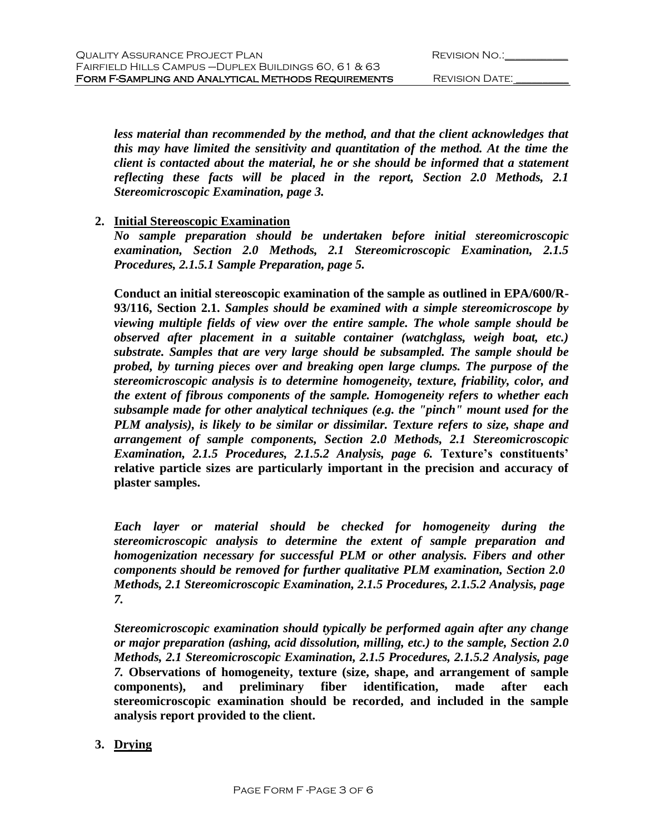| <b>REVISION NO.:</b> |  |
|----------------------|--|
|                      |  |

*less material than recommended by the method, and that the client acknowledges that this may have limited the sensitivity and quantitation of the method. At the time the client is contacted about the material, he or she should be informed that a statement reflecting these facts will be placed in the report, Section 2.0 Methods, 2.1 Stereomicroscopic Examination, page 3.*

# **2. Initial Stereoscopic Examination**

*No sample preparation should be undertaken before initial stereomicroscopic examination, Section 2.0 Methods, 2.1 Stereomicroscopic Examination, 2.1.5 Procedures, 2.1.5.1 Sample Preparation, page 5.*

**Conduct an initial stereoscopic examination of the sample as outlined in EPA/600/R-93/116, Section 2.1.** *Samples should be examined with a simple stereomicroscope by viewing multiple fields of view over the entire sample. The whole sample should be observed after placement in a suitable container (watchglass, weigh boat, etc.) substrate. Samples that are very large should be subsampled. The sample should be probed, by turning pieces over and breaking open large clumps. The purpose of the stereomicroscopic analysis is to determine homogeneity, texture, friability, color, and the extent of fibrous components of the sample. Homogeneity refers to whether each subsample made for other analytical techniques (e.g. the "pinch" mount used for the PLM analysis), is likely to be similar or dissimilar. Texture refers to size, shape and arrangement of sample components, Section 2.0 Methods, 2.1 Stereomicroscopic Examination, 2.1.5 Procedures, 2.1.5.2 Analysis, page 6.* **Texture's constituents' relative particle sizes are particularly important in the precision and accuracy of plaster samples.**

*Each layer or material should be checked for homogeneity during the stereomicroscopic analysis to determine the extent of sample preparation and homogenization necessary for successful PLM or other analysis. Fibers and other components should be removed for further qualitative PLM examination, Section 2.0 Methods, 2.1 Stereomicroscopic Examination, 2.1.5 Procedures, 2.1.5.2 Analysis, page 7.*

*Stereomicroscopic examination should typically be performed again after any change or major preparation (ashing, acid dissolution, milling, etc.) to the sample, Section 2.0 Methods, 2.1 Stereomicroscopic Examination, 2.1.5 Procedures, 2.1.5.2 Analysis, page 7.* **Observations of homogeneity, texture (size, shape, and arrangement of sample components), and preliminary fiber identification, made after each stereomicroscopic examination should be recorded, and included in the sample analysis report provided to the client.**

# **3. Drying**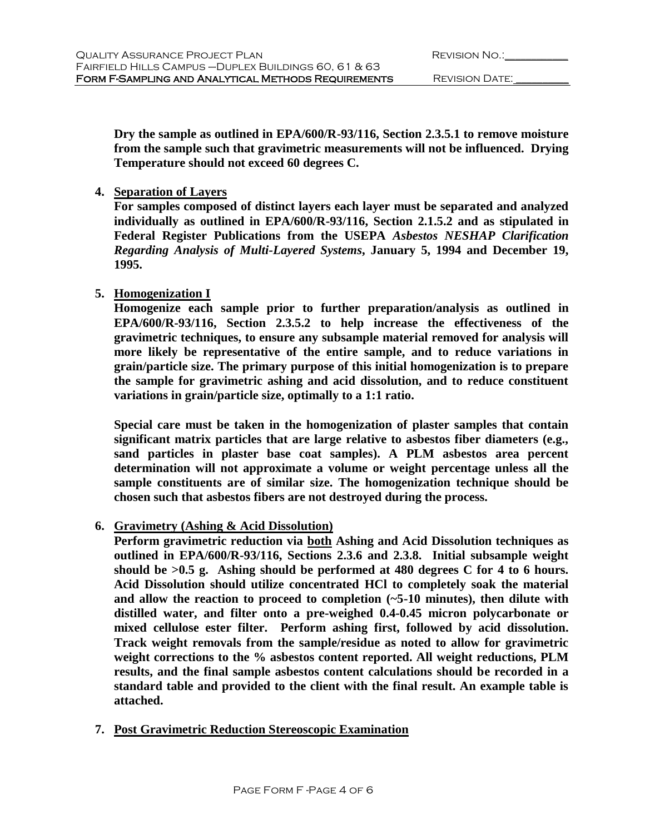**Dry the sample as outlined in EPA/600/R-93/116, Section 2.3.5.1 to remove moisture from the sample such that gravimetric measurements will not be influenced. Drying Temperature should not exceed 60 degrees C.**

### **4. Separation of Layers**

**For samples composed of distinct layers each layer must be separated and analyzed individually as outlined in EPA/600/R-93/116, Section 2.1.5.2 and as stipulated in Federal Register Publications from the USEPA** *Asbestos NESHAP Clarification Regarding Analysis of Multi-Layered Systems***, January 5, 1994 and December 19, 1995.**

# **5. Homogenization I**

**Homogenize each sample prior to further preparation/analysis as outlined in EPA/600/R-93/116, Section 2.3.5.2 to help increase the effectiveness of the gravimetric techniques, to ensure any subsample material removed for analysis will more likely be representative of the entire sample, and to reduce variations in grain/particle size. The primary purpose of this initial homogenization is to prepare the sample for gravimetric ashing and acid dissolution, and to reduce constituent variations in grain/particle size, optimally to a 1:1 ratio.**

**Special care must be taken in the homogenization of plaster samples that contain significant matrix particles that are large relative to asbestos fiber diameters (e.g., sand particles in plaster base coat samples). A PLM asbestos area percent determination will not approximate a volume or weight percentage unless all the sample constituents are of similar size. The homogenization technique should be chosen such that asbestos fibers are not destroyed during the process.**

# **6. Gravimetry (Ashing & Acid Dissolution)**

**Perform gravimetric reduction via both Ashing and Acid Dissolution techniques as outlined in EPA/600/R-93/116, Sections 2.3.6 and 2.3.8. Initial subsample weight should be >0.5 g. Ashing should be performed at 480 degrees C for 4 to 6 hours. Acid Dissolution should utilize concentrated HCl to completely soak the material and allow the reaction to proceed to completion (~5-10 minutes), then dilute with distilled water, and filter onto a pre-weighed 0.4-0.45 micron polycarbonate or mixed cellulose ester filter. Perform ashing first, followed by acid dissolution. Track weight removals from the sample/residue as noted to allow for gravimetric weight corrections to the % asbestos content reported. All weight reductions, PLM results, and the final sample asbestos content calculations should be recorded in a standard table and provided to the client with the final result. An example table is attached.**

# **7. Post Gravimetric Reduction Stereoscopic Examination**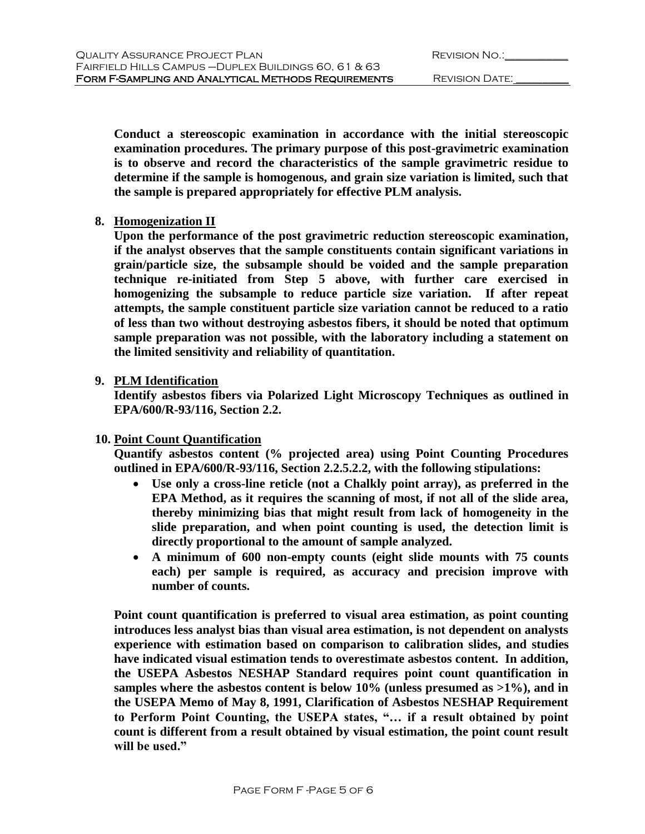**Conduct a stereoscopic examination in accordance with the initial stereoscopic examination procedures. The primary purpose of this post-gravimetric examination is to observe and record the characteristics of the sample gravimetric residue to determine if the sample is homogenous, and grain size variation is limited, such that the sample is prepared appropriately for effective PLM analysis.**

# **8. Homogenization II**

**Upon the performance of the post gravimetric reduction stereoscopic examination, if the analyst observes that the sample constituents contain significant variations in grain/particle size, the subsample should be voided and the sample preparation technique re-initiated from Step 5 above, with further care exercised in homogenizing the subsample to reduce particle size variation. If after repeat attempts, the sample constituent particle size variation cannot be reduced to a ratio of less than two without destroying asbestos fibers, it should be noted that optimum sample preparation was not possible, with the laboratory including a statement on the limited sensitivity and reliability of quantitation.**

# **9. PLM Identification**

**Identify asbestos fibers via Polarized Light Microscopy Techniques as outlined in EPA/600/R-93/116, Section 2.2.**

# **10. Point Count Quantification**

**Quantify asbestos content (% projected area) using Point Counting Procedures outlined in EPA/600/R-93/116, Section 2.2.5.2.2, with the following stipulations:**

- **Use only a cross-line reticle (not a Chalkly point array), as preferred in the EPA Method, as it requires the scanning of most, if not all of the slide area, thereby minimizing bias that might result from lack of homogeneity in the slide preparation, and when point counting is used, the detection limit is directly proportional to the amount of sample analyzed.**
- **A minimum of 600 non-empty counts (eight slide mounts with 75 counts each) per sample is required, as accuracy and precision improve with number of counts.**

**Point count quantification is preferred to visual area estimation, as point counting introduces less analyst bias than visual area estimation, is not dependent on analysts experience with estimation based on comparison to calibration slides, and studies have indicated visual estimation tends to overestimate asbestos content. In addition, the USEPA Asbestos NESHAP Standard requires point count quantification in samples where the asbestos content is below 10% (unless presumed as >1%), and in the USEPA Memo of May 8, 1991, Clarification of Asbestos NESHAP Requirement to Perform Point Counting, the USEPA states, "… if a result obtained by point count is different from a result obtained by visual estimation, the point count result will be used."**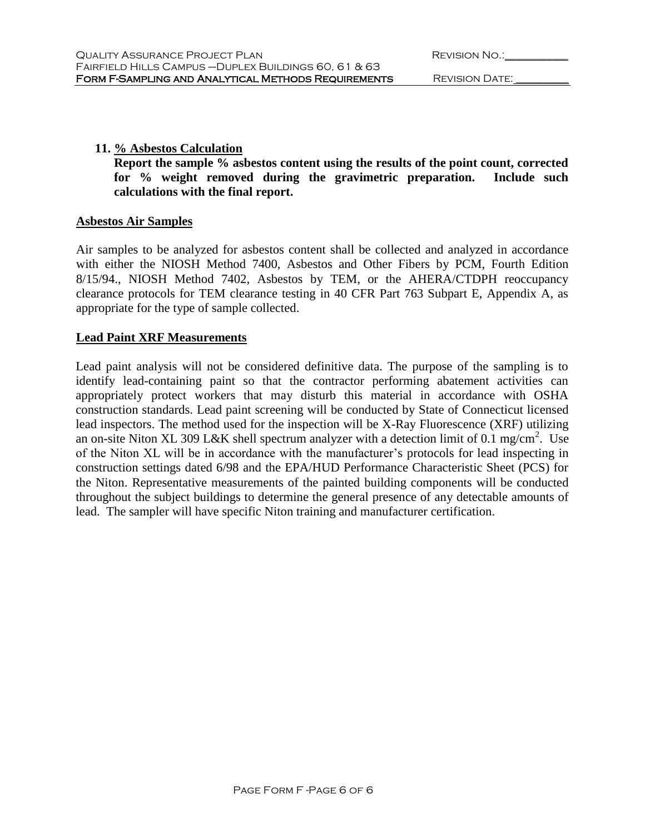### **11. % Asbestos Calculation**

**Report the sample % asbestos content using the results of the point count, corrected for % weight removed during the gravimetric preparation. Include such calculations with the final report.**

#### **Asbestos Air Samples**

Air samples to be analyzed for asbestos content shall be collected and analyzed in accordance with either the NIOSH Method 7400, Asbestos and Other Fibers by PCM, Fourth Edition 8/15/94., NIOSH Method 7402, Asbestos by TEM, or the AHERA/CTDPH reoccupancy clearance protocols for TEM clearance testing in 40 CFR Part 763 Subpart E, Appendix A, as appropriate for the type of sample collected.

#### **Lead Paint XRF Measurements**

Lead paint analysis will not be considered definitive data. The purpose of the sampling is to identify lead-containing paint so that the contractor performing abatement activities can appropriately protect workers that may disturb this material in accordance with OSHA construction standards. Lead paint screening will be conducted by State of Connecticut licensed lead inspectors. The method used for the inspection will be X-Ray Fluorescence (XRF) utilizing an on-site Niton XL 309 L&K shell spectrum analyzer with a detection limit of 0.1 mg/cm<sup>2</sup>. Use of the Niton XL will be in accordance with the manufacturer's protocols for lead inspecting in construction settings dated 6/98 and the EPA/HUD Performance Characteristic Sheet (PCS) for the Niton. Representative measurements of the painted building components will be conducted throughout the subject buildings to determine the general presence of any detectable amounts of lead. The sampler will have specific Niton training and manufacturer certification.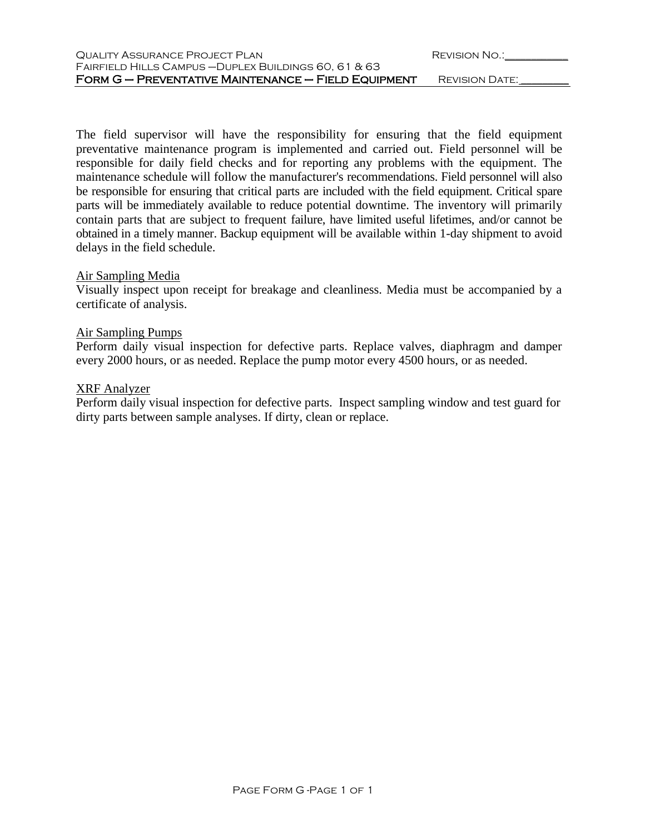| QUALITY ASSURANCE PROJECT PLAN                        | REVISION NO.:  |
|-------------------------------------------------------|----------------|
| FAIRFIELD HILLS CAMPUS - DUPLEX BUILDINGS 60, 61 & 63 |                |
| FORM G - PREVENTATIVE MAINTENANCE - FIELD EQUIPMENT   | REVISION DATE: |

The field supervisor will have the responsibility for ensuring that the field equipment preventative maintenance program is implemented and carried out. Field personnel will be responsible for daily field checks and for reporting any problems with the equipment. The maintenance schedule will follow the manufacturer's recommendations. Field personnel will also be responsible for ensuring that critical parts are included with the field equipment. Critical spare parts will be immediately available to reduce potential downtime. The inventory will primarily contain parts that are subject to frequent failure, have limited useful lifetimes, and/or cannot be obtained in a timely manner. Backup equipment will be available within 1-day shipment to avoid delays in the field schedule.

#### Air Sampling Media

Visually inspect upon receipt for breakage and cleanliness. Media must be accompanied by a certificate of analysis.

#### Air Sampling Pumps

Perform daily visual inspection for defective parts. Replace valves, diaphragm and damper every 2000 hours, or as needed. Replace the pump motor every 4500 hours, or as needed.

#### XRF Analyzer

Perform daily visual inspection for defective parts. Inspect sampling window and test guard for dirty parts between sample analyses. If dirty, clean or replace.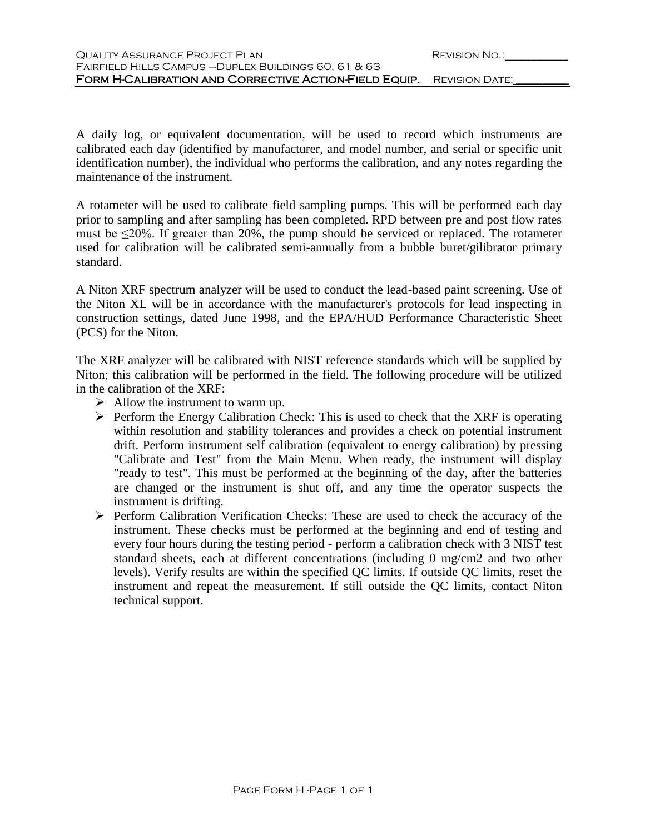| QUALITY ASSURANCE PROJECT PLAN                                              | REVISION NO.: |
|-----------------------------------------------------------------------------|---------------|
| FAIRFIELD HILLS CAMPUS - DUPLEX BUILDINGS 60, 61 & 63                       |               |
| <b>FORM H-CALIBRATION AND CORRECTIVE ACTION-FIELD EQUIP.</b> REVISION DATE: |               |

A daily log, or equivalent documentation, will be used to record which instruments are calibrated each day (identified by manufacturer, and model number, and serial or specific unit identification number), the individual who performs the calibration, and any notes regarding the maintenance of the instrument.

A rotameter will be used to calibrate field sampling pumps. This will be performed each day prior to sampling and after sampling has been completed. RPD between pre and post flow rates must be  $\leq$ 20%. If greater than 20%, the pump should be serviced or replaced. The rotameter used for calibration will be calibrated semi-annually from a bubble buret/gilibrator primary standard.

A Niton XRF spectrum analyzer will be used to conduct the lead-based paint screening. Use of the Niton XL will be in accordance with the manufacturer's protocols for lead inspecting in construction settings, dated June 1998, and the EPA/HUD Performance Characteristic Sheet (PCS) for the Niton.

The XRF analyzer will be calibrated with NIST reference standards which will be supplied by Niton; this calibration will be performed in the field. The following procedure will be utilized in the calibration of the XRF:

- $\triangleright$  Allow the instrument to warm up.
- $\triangleright$  Perform the Energy Calibration Check: This is used to check that the XRF is operating within resolution and stability tolerances and provides a check on potential instrument drift. Perform instrument self calibration (equivalent to energy calibration) by pressing "Calibrate and Test" from the Main Menu. When ready, the instrument will display "ready to test". This must be performed at the beginning of the day, after the batteries are changed or the instrument is shut off, and any time the operator suspects the instrument is drifting.
- $\triangleright$  Perform Calibration Verification Checks: These are used to check the accuracy of the instrument. These checks must be performed at the beginning and end of testing and every four hours during the testing period - perform a calibration check with 3 NIST test standard sheets, each at different concentrations (including 0 mg/cm2 and two other levels). Verify results are within the specified QC limits. If outside QC limits, reset the instrument and repeat the measurement. If still outside the QC limits, contact Niton technical support.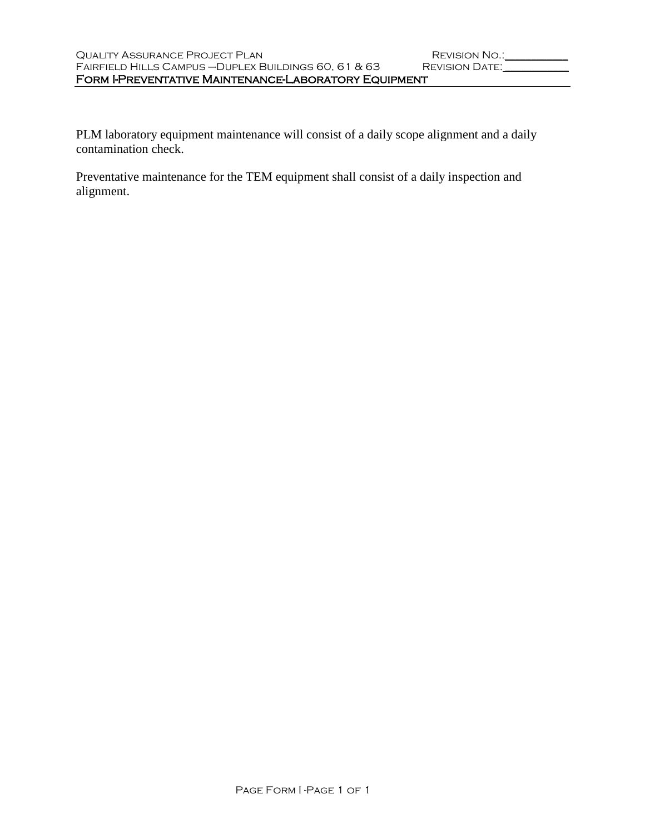PLM laboratory equipment maintenance will consist of a daily scope alignment and a daily contamination check.

Preventative maintenance for the TEM equipment shall consist of a daily inspection and alignment.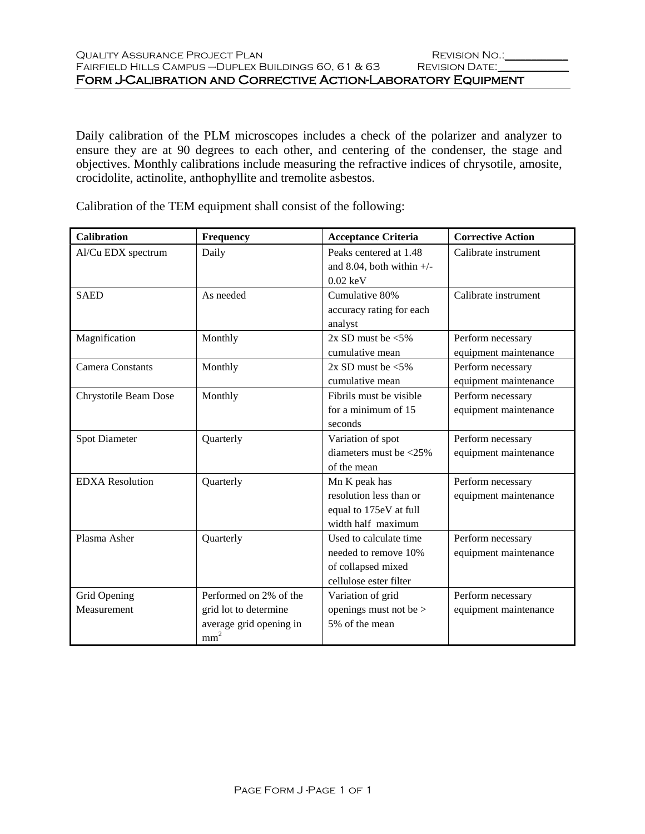Daily calibration of the PLM microscopes includes a check of the polarizer and analyzer to ensure they are at 90 degrees to each other, and centering of the condenser, the stage and objectives. Monthly calibrations include measuring the refractive indices of chrysotile, amosite, crocidolite, actinolite, anthophyllite and tremolite asbestos.

| <b>Calibration</b>      | Frequency               | <b>Acceptance Criteria</b>       | <b>Corrective Action</b> |
|-------------------------|-------------------------|----------------------------------|--------------------------|
| Al/Cu EDX spectrum      | Daily                   | Peaks centered at 1.48           | Calibrate instrument     |
|                         |                         | and 8.04, both within $+/-$      |                          |
|                         |                         | $0.02 \text{ keV}$               |                          |
| <b>SAED</b>             | As needed               | Cumulative 80%                   | Calibrate instrument     |
|                         |                         | accuracy rating for each         |                          |
|                         |                         | analyst                          |                          |
| Magnification           | Monthly                 | $2x$ SD must be $\leq 5\%$       | Perform necessary        |
|                         |                         | cumulative mean                  | equipment maintenance    |
| <b>Camera Constants</b> | Monthly                 | $2x$ SD must be $\leq 5\%$       | Perform necessary        |
|                         |                         | cumulative mean                  | equipment maintenance    |
| Chrystotile Beam Dose   | Monthly                 | Fibrils must be visible          | Perform necessary        |
|                         |                         | for a minimum of 15              | equipment maintenance    |
|                         |                         | seconds                          |                          |
| <b>Spot Diameter</b>    | Quarterly               | Variation of spot                | Perform necessary        |
|                         |                         | diameters must be $\langle 25\%$ | equipment maintenance    |
|                         |                         | of the mean                      |                          |
| <b>EDXA</b> Resolution  | Quarterly               | Mn K peak has                    | Perform necessary        |
|                         |                         | resolution less than or          | equipment maintenance    |
|                         |                         | equal to 175eV at full           |                          |
|                         |                         | width half maximum               |                          |
| Plasma Asher            | Quarterly               | Used to calculate time           | Perform necessary        |
|                         |                         | needed to remove 10%             | equipment maintenance    |
|                         |                         | of collapsed mixed               |                          |
|                         |                         | cellulose ester filter           |                          |
| Grid Opening            | Performed on 2% of the  | Variation of grid                | Perform necessary        |
| Measurement             | grid lot to determine   | openings must not be >           | equipment maintenance    |
|                         | average grid opening in | 5% of the mean                   |                          |
|                         | mm <sup>2</sup>         |                                  |                          |

Calibration of the TEM equipment shall consist of the following: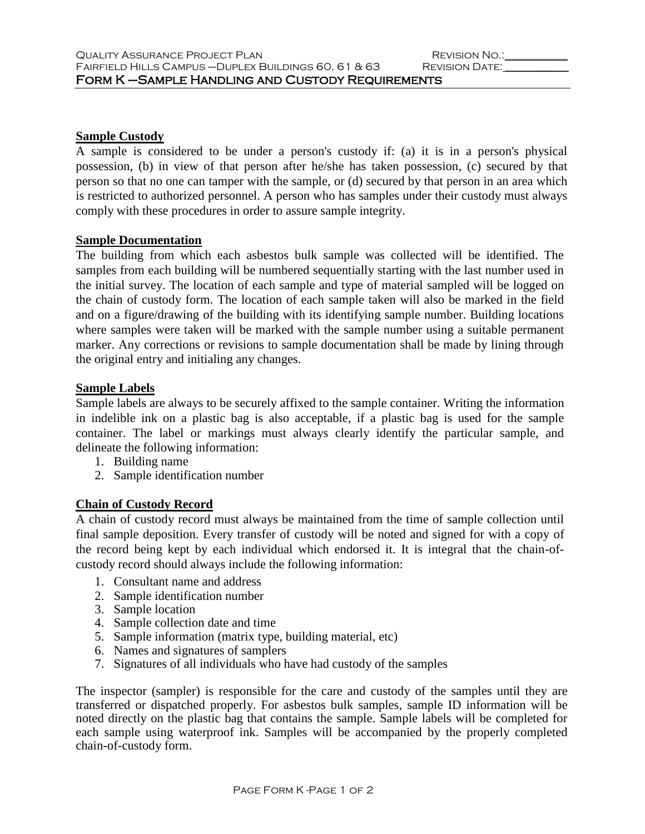# **Sample Custody**

A sample is considered to be under a person's custody if: (a) it is in a person's physical possession, (b) in view of that person after he/she has taken possession, (c) secured by that person so that no one can tamper with the sample, or (d) secured by that person in an area which is restricted to authorized personnel. A person who has samples under their custody must always comply with these procedures in order to assure sample integrity.

#### **Sample Documentation**

The building from which each asbestos bulk sample was collected will be identified. The samples from each building will be numbered sequentially starting with the last number used in the initial survey. The location of each sample and type of material sampled will be logged on the chain of custody form. The location of each sample taken will also be marked in the field and on a figure/drawing of the building with its identifying sample number. Building locations where samples were taken will be marked with the sample number using a suitable permanent marker. Any corrections or revisions to sample documentation shall be made by lining through the original entry and initialing any changes.

### **Sample Labels**

Sample labels are always to be securely affixed to the sample container. Writing the information in indelible ink on a plastic bag is also acceptable, if a plastic bag is used for the sample container. The label or markings must always clearly identify the particular sample, and delineate the following information:

- 1. Building name
- 2. Sample identification number

# **Chain of Custody Record**

A chain of custody record must always be maintained from the time of sample collection until final sample deposition. Every transfer of custody will be noted and signed for with a copy of the record being kept by each individual which endorsed it. It is integral that the chain-ofcustody record should always include the following information:

- 1. Consultant name and address
- 2. Sample identification number
- 3. Sample location
- 4. Sample collection date and time
- 5. Sample information (matrix type, building material, etc)
- 6. Names and signatures of samplers
- 7. Signatures of all individuals who have had custody of the samples

The inspector (sampler) is responsible for the care and custody of the samples until they are transferred or dispatched properly. For asbestos bulk samples, sample ID information will be noted directly on the plastic bag that contains the sample. Sample labels will be completed for each sample using waterproof ink. Samples will be accompanied by the properly completed chain-of-custody form.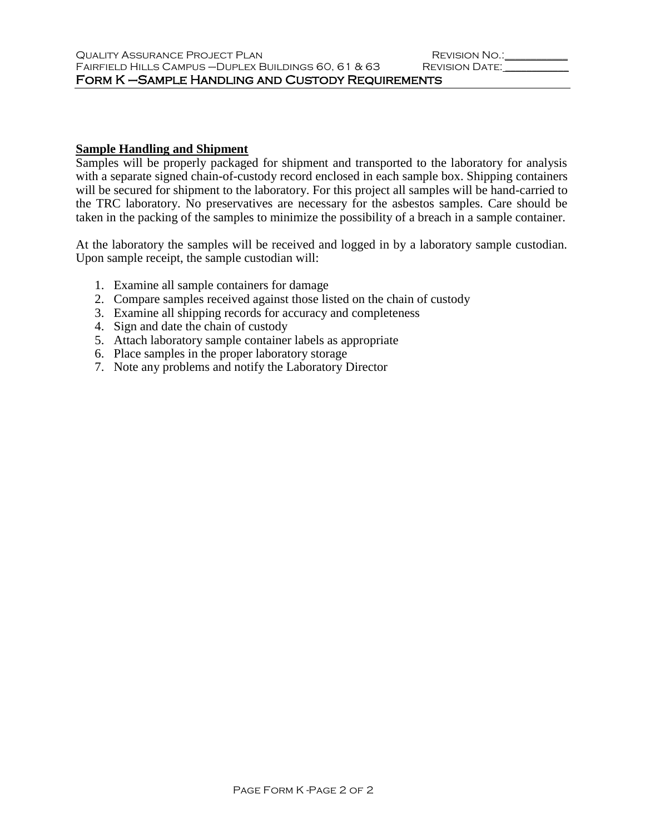# **Sample Handling and Shipment**

Samples will be properly packaged for shipment and transported to the laboratory for analysis with a separate signed chain-of-custody record enclosed in each sample box. Shipping containers will be secured for shipment to the laboratory. For this project all samples will be hand-carried to the TRC laboratory. No preservatives are necessary for the asbestos samples. Care should be taken in the packing of the samples to minimize the possibility of a breach in a sample container.

At the laboratory the samples will be received and logged in by a laboratory sample custodian. Upon sample receipt, the sample custodian will:

- 1. Examine all sample containers for damage
- 2. Compare samples received against those listed on the chain of custody
- 3. Examine all shipping records for accuracy and completeness
- 4. Sign and date the chain of custody
- 5. Attach laboratory sample container labels as appropriate
- 6. Place samples in the proper laboratory storage
- 7. Note any problems and notify the Laboratory Director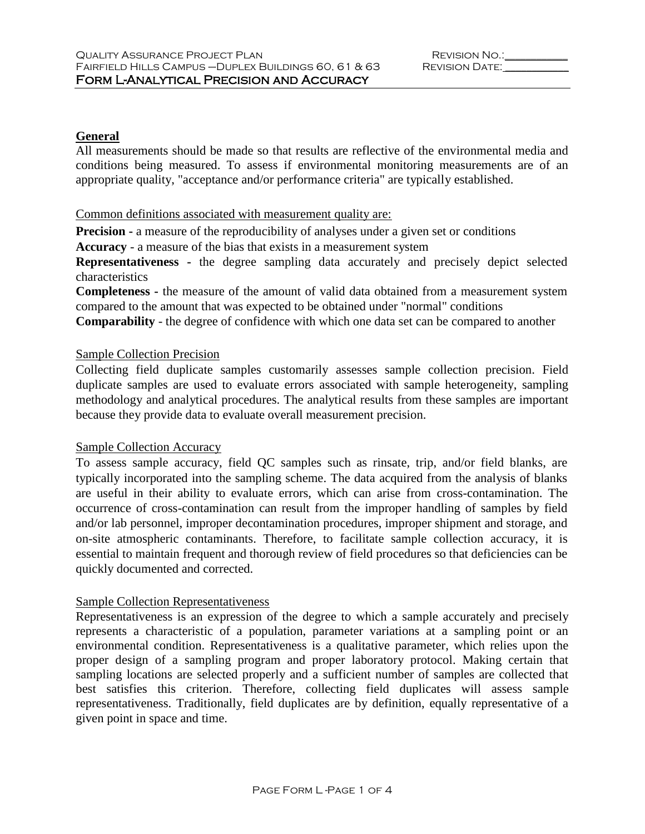# **General**

All measurements should be made so that results are reflective of the environmental media and conditions being measured. To assess if environmental monitoring measurements are of an appropriate quality, "acceptance and/or performance criteria" are typically established.

#### Common definitions associated with measurement quality are:

**Precision -** a measure of the reproducibility of analyses under a given set or conditions

**Accuracy** - a measure of the bias that exists in a measurement system

**Representativeness -** the degree sampling data accurately and precisely depict selected characteristics

**Completeness -** the measure of the amount of valid data obtained from a measurement system compared to the amount that was expected to be obtained under "normal" conditions

**Comparability** - the degree of confidence with which one data set can be compared to another

# Sample Collection Precision

Collecting field duplicate samples customarily assesses sample collection precision. Field duplicate samples are used to evaluate errors associated with sample heterogeneity, sampling methodology and analytical procedures. The analytical results from these samples are important because they provide data to evaluate overall measurement precision.

# Sample Collection Accuracy

To assess sample accuracy, field QC samples such as rinsate, trip, and/or field blanks, are typically incorporated into the sampling scheme. The data acquired from the analysis of blanks are useful in their ability to evaluate errors, which can arise from cross-contamination. The occurrence of cross-contamination can result from the improper handling of samples by field and/or lab personnel, improper decontamination procedures, improper shipment and storage, and on-site atmospheric contaminants. Therefore, to facilitate sample collection accuracy, it is essential to maintain frequent and thorough review of field procedures so that deficiencies can be quickly documented and corrected.

# Sample Collection Representativeness

Representativeness is an expression of the degree to which a sample accurately and precisely represents a characteristic of a population, parameter variations at a sampling point or an environmental condition. Representativeness is a qualitative parameter, which relies upon the proper design of a sampling program and proper laboratory protocol. Making certain that sampling locations are selected properly and a sufficient number of samples are collected that best satisfies this criterion. Therefore, collecting field duplicates will assess sample representativeness. Traditionally, field duplicates are by definition, equally representative of a given point in space and time.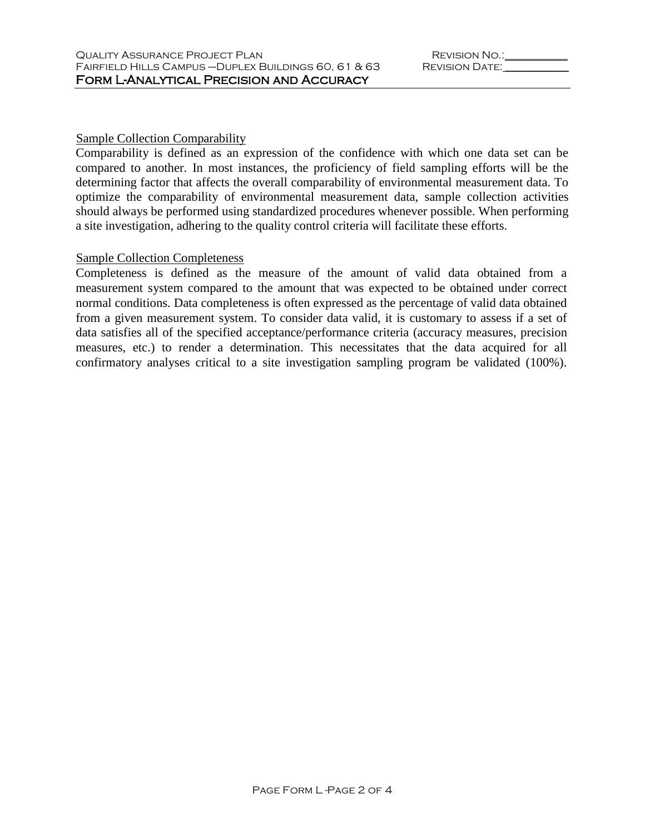#### Sample Collection Comparability

Comparability is defined as an expression of the confidence with which one data set can be compared to another. In most instances, the proficiency of field sampling efforts will be the determining factor that affects the overall comparability of environmental measurement data. To optimize the comparability of environmental measurement data, sample collection activities should always be performed using standardized procedures whenever possible. When performing a site investigation, adhering to the quality control criteria will facilitate these efforts.

#### Sample Collection Completeness

Completeness is defined as the measure of the amount of valid data obtained from a measurement system compared to the amount that was expected to be obtained under correct normal conditions. Data completeness is often expressed as the percentage of valid data obtained from a given measurement system. To consider data valid, it is customary to assess if a set of data satisfies all of the specified acceptance/performance criteria (accuracy measures, precision measures, etc.) to render a determination. This necessitates that the data acquired for all confirmatory analyses critical to a site investigation sampling program be validated (100%).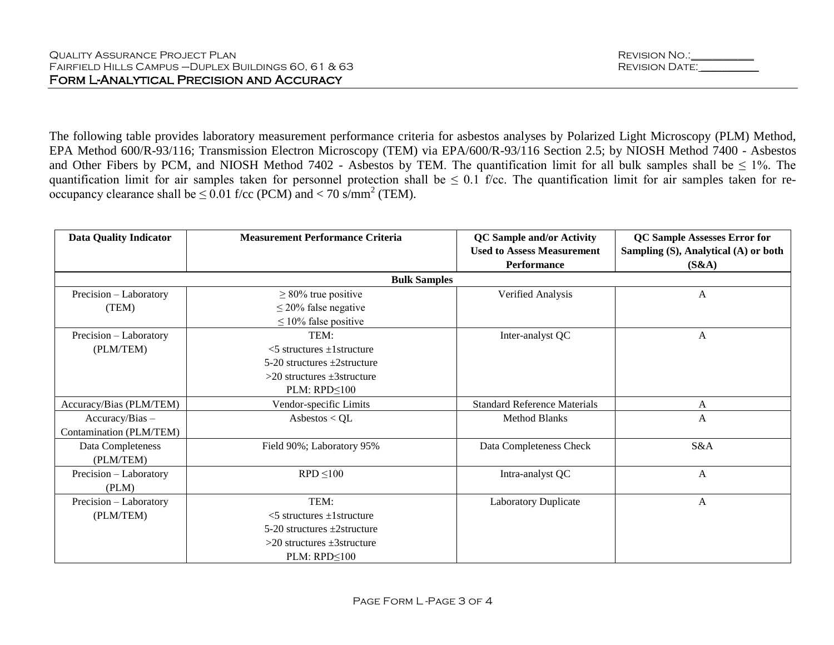The following table provides laboratory measurement performance criteria for asbestos analyses by Polarized Light Microscopy (PLM) Method, EPA Method 600/R-93/116; Transmission Electron Microscopy (TEM) via EPA/600/R-93/116 Section 2.5; by NIOSH Method 7400 - Asbestos and Other Fibers by PCM, and NIOSH Method 7402 - Asbestos by TEM. The quantification limit for all bulk samples shall be  $\leq 1\%$ . The quantification limit for air samples taken for personnel protection shall be  $\leq 0.1$  f/cc. The quantification limit for air samples taken for reoccupancy clearance shall be  $\leq 0.01$  f/cc (PCM) and  $< 70$  s/mm<sup>2</sup> (TEM).

| <b>Data Quality Indicator</b> | <b>Measurement Performance Criteria</b> | <b>QC</b> Sample and/or Activity    | <b>QC Sample Assesses Error for</b>  |
|-------------------------------|-----------------------------------------|-------------------------------------|--------------------------------------|
|                               |                                         | <b>Used to Assess Measurement</b>   | Sampling (S), Analytical (A) or both |
|                               |                                         | Performance                         | (S&A)                                |
|                               | <b>Bulk Samples</b>                     |                                     |                                      |
| Precision - Laboratory        | $\geq$ 80% true positive                | Verified Analysis                   | A                                    |
| (TEM)                         | $\leq$ 20% false negative               |                                     |                                      |
|                               | $\leq 10\%$ false positive              |                                     |                                      |
| Precision - Laboratory        | TEM:                                    | Inter-analyst QC                    | A                                    |
| (PLM/TEM)                     | $<$ 5 structures $\pm$ 1 structure      |                                     |                                      |
|                               | $5-20$ structures $\pm 2$ structure     |                                     |                                      |
|                               | $>20$ structures $\pm 3$ structure      |                                     |                                      |
|                               | $PLM: RPD \leq 100$                     |                                     |                                      |
| Accuracy/Bias (PLM/TEM)       | Vendor-specific Limits                  | <b>Standard Reference Materials</b> | A                                    |
| Accuracy/Bias -               | Asbestos < $QL$                         | <b>Method Blanks</b>                | $\mathbf{A}$                         |
| Contamination (PLM/TEM)       |                                         |                                     |                                      |
| Data Completeness             | Field 90%; Laboratory 95%               | Data Completeness Check             | S&A                                  |
| (PLM/TEM)                     |                                         |                                     |                                      |
| Precision - Laboratory        | $RPD \leq 100$                          | Intra-analyst QC                    | $\mathbf{A}$                         |
| (PLM)                         |                                         |                                     |                                      |
| Precision - Laboratory        | TEM:                                    | <b>Laboratory Duplicate</b>         | A                                    |
| (PLM/TEM)                     | $<$ 5 structures $\pm$ 1 structure      |                                     |                                      |
|                               | $5-20$ structures $\pm 2$ structure     |                                     |                                      |
|                               | $>20$ structures $\pm 3$ structure      |                                     |                                      |
|                               | $PLM: RPD \leq 100$                     |                                     |                                      |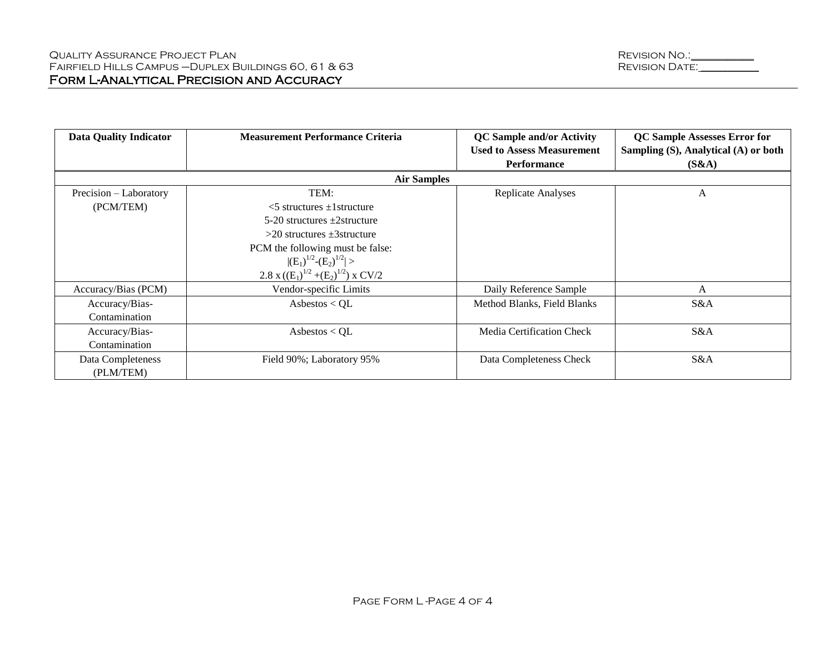| <b>Data Quality Indicator</b> | <b>Measurement Performance Criteria</b>    | <b>QC</b> Sample and/or Activity  | <b>QC Sample Assesses Error for</b>  |  |
|-------------------------------|--------------------------------------------|-----------------------------------|--------------------------------------|--|
|                               |                                            | <b>Used to Assess Measurement</b> | Sampling (S), Analytical (A) or both |  |
|                               |                                            | <b>Performance</b>                | (S&A)                                |  |
|                               | <b>Air Samples</b>                         |                                   |                                      |  |
| Precision – Laboratory        | TEM:                                       | Replicate Analyses                | A                                    |  |
| (PCM/TEM)                     | $<$ 5 structures $\pm$ 1 structure         |                                   |                                      |  |
|                               | $5-20$ structures $\pm 2$ structure        |                                   |                                      |  |
|                               | $>20$ structures $\pm 3$ structure         |                                   |                                      |  |
|                               | PCM the following must be false:           |                                   |                                      |  |
|                               | $ (E_1)^{1/2}-(E_2)^{1/2} >$               |                                   |                                      |  |
|                               | 2.8 x $((E_1)^{1/2} + (E_2)^{1/2})$ x CV/2 |                                   |                                      |  |
| Accuracy/Bias (PCM)           | Vendor-specific Limits                     | Daily Reference Sample            | A                                    |  |
| Accuracy/Bias-                | Asbestos $<$ QL                            | Method Blanks, Field Blanks       | S&A                                  |  |
| Contamination                 |                                            |                                   |                                      |  |
| Accuracy/Bias-                | Asbestos < $QL$                            | Media Certification Check         | S&A                                  |  |
| Contamination                 |                                            |                                   |                                      |  |
| Data Completeness             | Field 90%; Laboratory 95%                  | Data Completeness Check           | S&A                                  |  |
| (PLM/TEM)                     |                                            |                                   |                                      |  |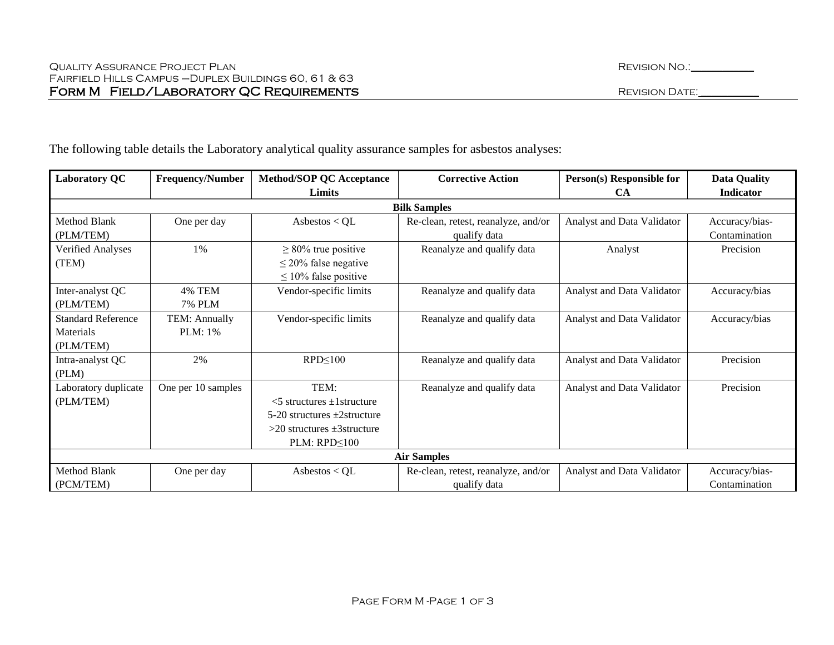| <b>Laboratory QC</b>      | <b>Frequency/Number</b> | <b>Method/SOP QC Acceptance</b>     | <b>Corrective Action</b>            | Person(s) Responsible for  | <b>Data Quality</b> |
|---------------------------|-------------------------|-------------------------------------|-------------------------------------|----------------------------|---------------------|
|                           |                         | Limits                              |                                     | <b>CA</b>                  | <b>Indicator</b>    |
|                           |                         |                                     | <b>Bilk Samples</b>                 |                            |                     |
| Method Blank              | One per day             | Asbestos < $QL$                     | Re-clean, retest, reanalyze, and/or | Analyst and Data Validator | Accuracy/bias-      |
| (PLM/TEM)                 |                         |                                     | qualify data                        |                            | Contamination       |
| <b>Verified Analyses</b>  | 1%                      | $\geq$ 80% true positive            | Reanalyze and qualify data          | Analyst                    | Precision           |
| (TEM)                     |                         | $\leq$ 20% false negative           |                                     |                            |                     |
|                           |                         | $\leq 10\%$ false positive          |                                     |                            |                     |
| Inter-analyst QC          | 4% TEM                  | Vendor-specific limits              | Reanalyze and qualify data          | Analyst and Data Validator | Accuracy/bias       |
| (PLM/TEM)                 | <b>7% PLM</b>           |                                     |                                     |                            |                     |
| <b>Standard Reference</b> | TEM: Annually           | Vendor-specific limits              | Reanalyze and qualify data          | Analyst and Data Validator | Accuracy/bias       |
| Materials                 | PLM: 1%                 |                                     |                                     |                            |                     |
| (PLM/TEM)                 |                         |                                     |                                     |                            |                     |
| Intra-analyst QC          | 2%                      | $RPD \leq 100$                      | Reanalyze and qualify data          | Analyst and Data Validator | Precision           |
| (PLM)                     |                         |                                     |                                     |                            |                     |
| Laboratory duplicate      | One per 10 samples      | TEM:                                | Reanalyze and qualify data          | Analyst and Data Validator | Precision           |
| (PLM/TEM)                 |                         | $<$ 5 structures $\pm$ 1 structure  |                                     |                            |                     |
|                           |                         | $5-20$ structures $\pm 2$ structure |                                     |                            |                     |
|                           |                         | $>20$ structures $\pm 3$ structure  |                                     |                            |                     |
|                           |                         | $PLM: RPD \leq 100$                 |                                     |                            |                     |
| <b>Air Samples</b>        |                         |                                     |                                     |                            |                     |
| <b>Method Blank</b>       | One per day             | Asbestos < $QL$                     | Re-clean, retest, reanalyze, and/or | Analyst and Data Validator | Accuracy/bias-      |
| (PCM/TEM)                 |                         |                                     | qualify data                        |                            | Contamination       |

The following table details the Laboratory analytical quality assurance samples for asbestos analyses: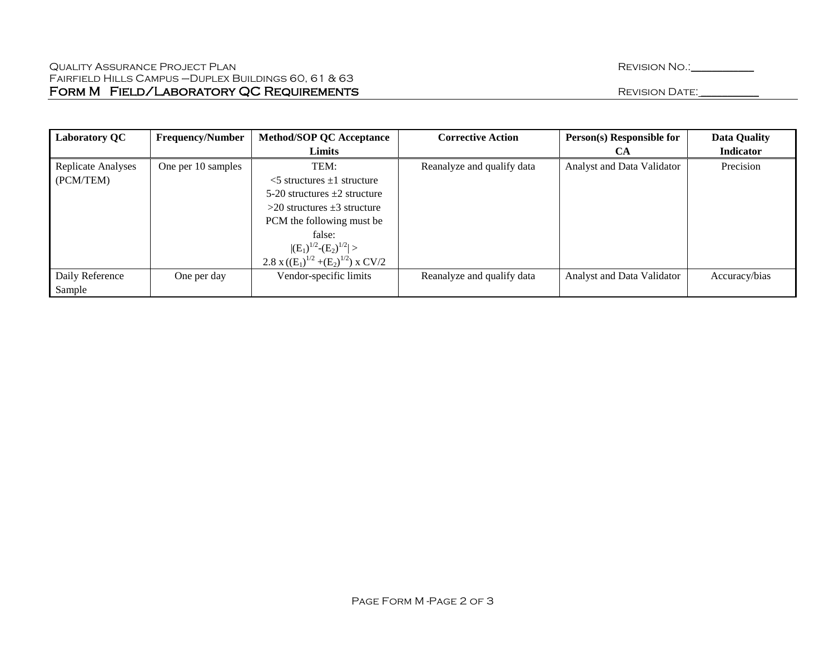| <b>Laboratory QC</b>      | <b>Frequency/Number</b> | <b>Method/SOP QC Acceptance</b>            | <b>Corrective Action</b>   | Person(s) Responsible for  | <b>Data Quality</b> |
|---------------------------|-------------------------|--------------------------------------------|----------------------------|----------------------------|---------------------|
|                           |                         | Limits                                     |                            | CА                         | Indicator           |
| <b>Replicate Analyses</b> | One per 10 samples      | TEM:                                       | Reanalyze and qualify data | Analyst and Data Validator | Precision           |
| (PCM/TEM)                 |                         | $\leq$ 5 structures $\pm$ 1 structure      |                            |                            |                     |
|                           |                         | 5-20 structures $\pm 2$ structure          |                            |                            |                     |
|                           |                         | $>$ 20 structures $\pm$ 3 structure        |                            |                            |                     |
|                           |                         | PCM the following must be                  |                            |                            |                     |
|                           |                         | false:                                     |                            |                            |                     |
|                           |                         | $ (E_1)^{1/2}-(E_2)^{1/2} >$               |                            |                            |                     |
|                           |                         | 2.8 x $((E_1)^{1/2} + (E_2)^{1/2})$ x CV/2 |                            |                            |                     |
| Daily Reference           | One per day             | Vendor-specific limits                     | Reanalyze and qualify data | Analyst and Data Validator | Accuracy/bias       |
| Sample                    |                         |                                            |                            |                            |                     |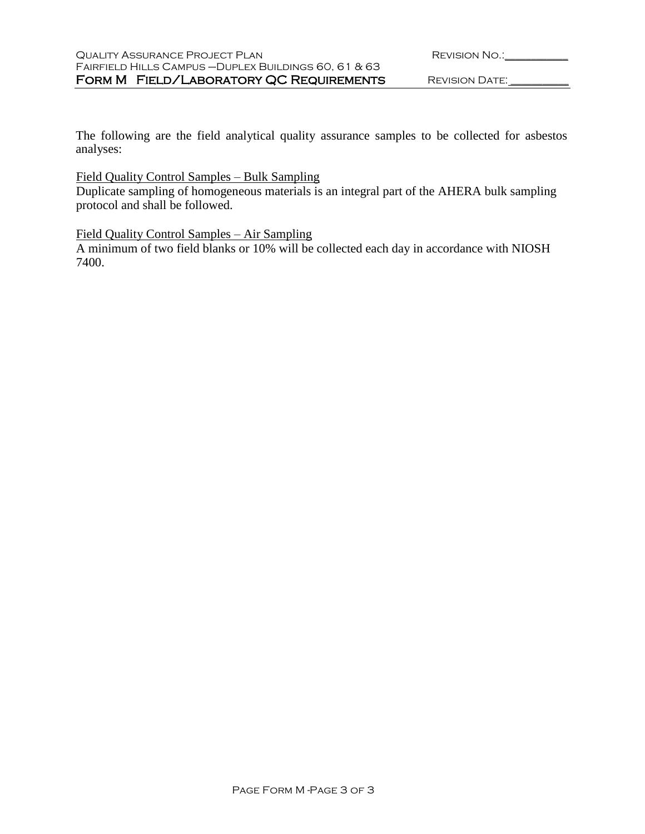| <b>REVISION NO.:</b> |  |
|----------------------|--|
|                      |  |

The following are the field analytical quality assurance samples to be collected for asbestos analyses:

# Field Quality Control Samples – Bulk Sampling

Duplicate sampling of homogeneous materials is an integral part of the AHERA bulk sampling protocol and shall be followed.

# Field Quality Control Samples – Air Sampling

A minimum of two field blanks or 10% will be collected each day in accordance with NIOSH 7400.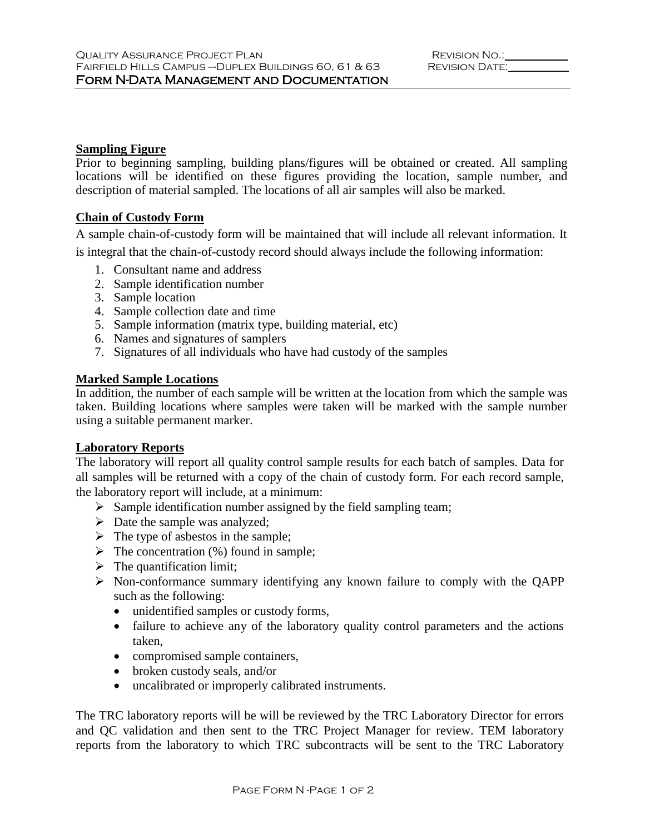#### **Sampling Figure**

Prior to beginning sampling, building plans/figures will be obtained or created. All sampling locations will be identified on these figures providing the location, sample number, and description of material sampled. The locations of all air samples will also be marked.

# **Chain of Custody Form**

A sample chain-of-custody form will be maintained that will include all relevant information. It is integral that the chain-of-custody record should always include the following information:

- 1. Consultant name and address
- 2. Sample identification number
- 3. Sample location
- 4. Sample collection date and time
- 5. Sample information (matrix type, building material, etc)
- 6. Names and signatures of samplers
- 7. Signatures of all individuals who have had custody of the samples

# **Marked Sample Locations**

In addition, the number of each sample will be written at the location from which the sample was taken. Building locations where samples were taken will be marked with the sample number using a suitable permanent marker.

# **Laboratory Reports**

The laboratory will report all quality control sample results for each batch of samples. Data for all samples will be returned with a copy of the chain of custody form. For each record sample, the laboratory report will include, at a minimum:

- $\triangleright$  Sample identification number assigned by the field sampling team;
- $\triangleright$  Date the sample was analyzed;
- $\triangleright$  The type of asbestos in the sample;
- $\triangleright$  The concentration (%) found in sample;
- $\triangleright$  The quantification limit;
- $\triangleright$  Non-conformance summary identifying any known failure to comply with the QAPP such as the following:
	- unidentified samples or custody forms,
	- failure to achieve any of the laboratory quality control parameters and the actions taken,
	- compromised sample containers,
	- broken custody seals, and/or
	- uncalibrated or improperly calibrated instruments.

The TRC laboratory reports will be will be reviewed by the TRC Laboratory Director for errors and QC validation and then sent to the TRC Project Manager for review. TEM laboratory reports from the laboratory to which TRC subcontracts will be sent to the TRC Laboratory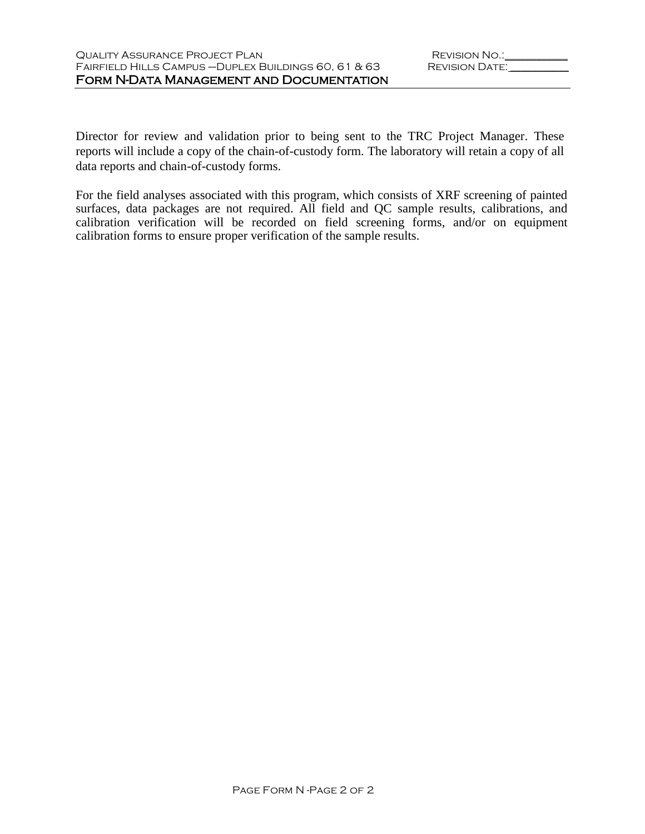Director for review and validation prior to being sent to the TRC Project Manager. These reports will include a copy of the chain-of-custody form. The laboratory will retain a copy of all data reports and chain-of-custody forms.

For the field analyses associated with this program, which consists of XRF screening of painted surfaces, data packages are not required. All field and QC sample results, calibrations, and calibration verification will be recorded on field screening forms, and/or on equipment calibration forms to ensure proper verification of the sample results.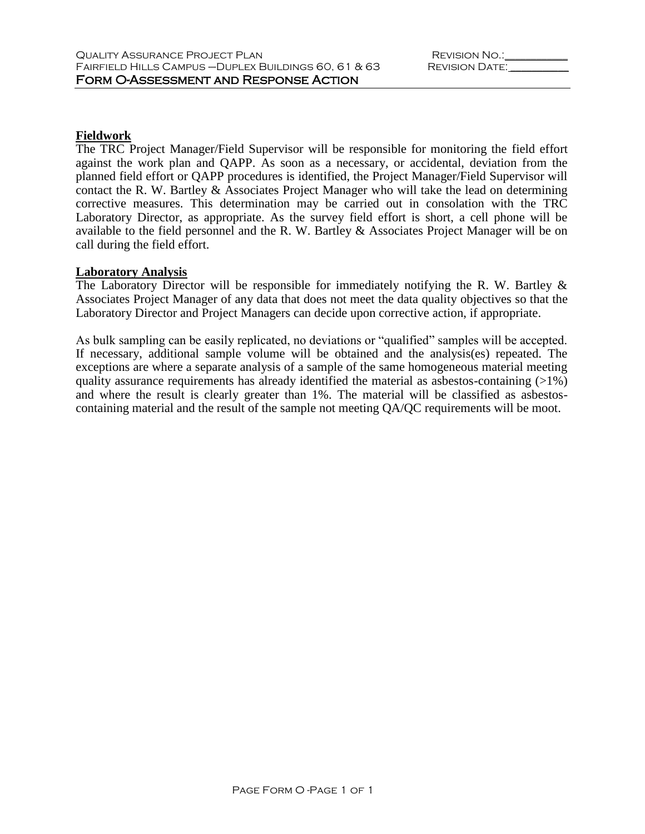### **Fieldwork**

The TRC Project Manager/Field Supervisor will be responsible for monitoring the field effort against the work plan and QAPP. As soon as a necessary, or accidental, deviation from the planned field effort or QAPP procedures is identified, the Project Manager/Field Supervisor will contact the R. W. Bartley & Associates Project Manager who will take the lead on determining corrective measures. This determination may be carried out in consolation with the TRC Laboratory Director, as appropriate. As the survey field effort is short, a cell phone will be available to the field personnel and the R. W. Bartley & Associates Project Manager will be on call during the field effort.

#### **Laboratory Analysis**

The Laboratory Director will be responsible for immediately notifying the R. W. Bartley & Associates Project Manager of any data that does not meet the data quality objectives so that the Laboratory Director and Project Managers can decide upon corrective action, if appropriate.

As bulk sampling can be easily replicated, no deviations or "qualified" samples will be accepted. If necessary, additional sample volume will be obtained and the analysis(es) repeated. The exceptions are where a separate analysis of a sample of the same homogeneous material meeting quality assurance requirements has already identified the material as asbestos-containing  $(>1\%)$ and where the result is clearly greater than 1%. The material will be classified as asbestoscontaining material and the result of the sample not meeting QA/QC requirements will be moot.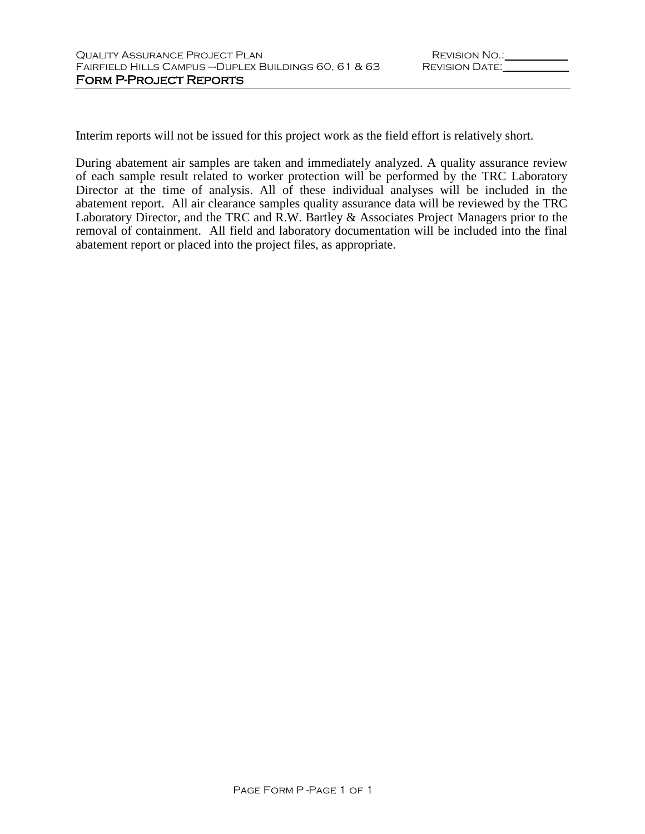Interim reports will not be issued for this project work as the field effort is relatively short.

During abatement air samples are taken and immediately analyzed. A quality assurance review of each sample result related to worker protection will be performed by the TRC Laboratory Director at the time of analysis. All of these individual analyses will be included in the abatement report. All air clearance samples quality assurance data will be reviewed by the TRC Laboratory Director, and the TRC and R.W. Bartley & Associates Project Managers prior to the removal of containment. All field and laboratory documentation will be included into the final abatement report or placed into the project files, as appropriate.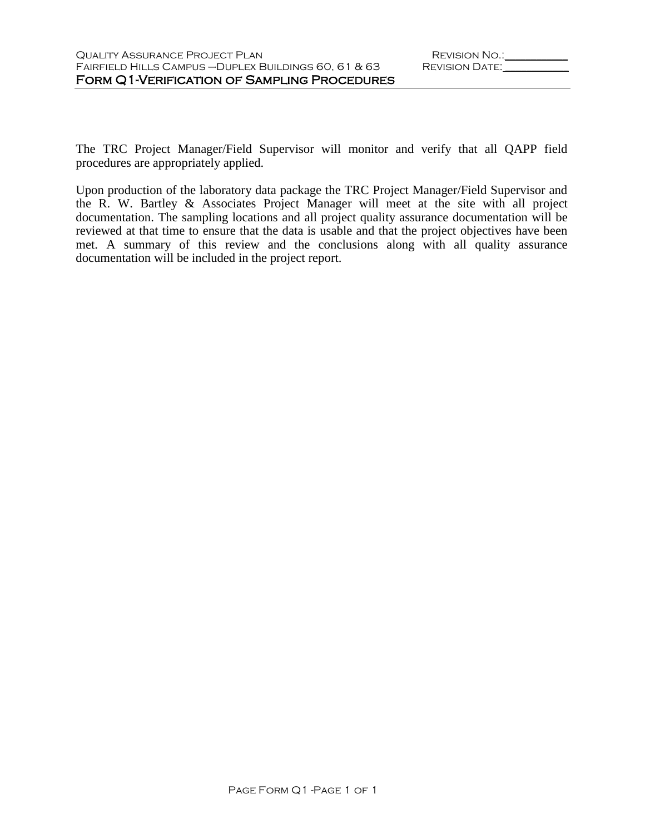The TRC Project Manager/Field Supervisor will monitor and verify that all QAPP field procedures are appropriately applied.

Upon production of the laboratory data package the TRC Project Manager/Field Supervisor and the R. W. Bartley & Associates Project Manager will meet at the site with all project documentation. The sampling locations and all project quality assurance documentation will be reviewed at that time to ensure that the data is usable and that the project objectives have been met. A summary of this review and the conclusions along with all quality assurance documentation will be included in the project report.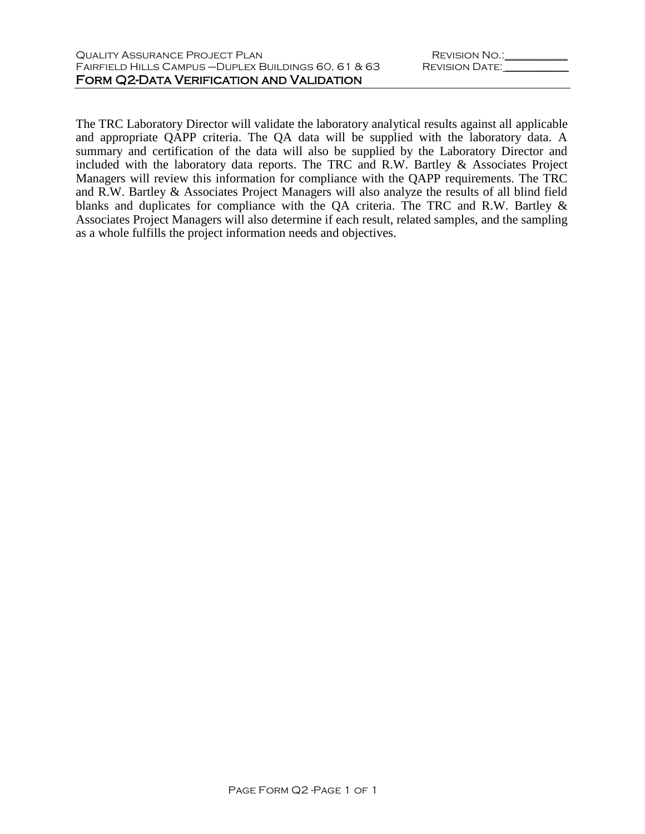The TRC Laboratory Director will validate the laboratory analytical results against all applicable and appropriate QAPP criteria. The QA data will be supplied with the laboratory data. A summary and certification of the data will also be supplied by the Laboratory Director and included with the laboratory data reports. The TRC and R.W. Bartley & Associates Project Managers will review this information for compliance with the QAPP requirements. The TRC and R.W. Bartley & Associates Project Managers will also analyze the results of all blind field blanks and duplicates for compliance with the QA criteria. The TRC and R.W. Bartley & Associates Project Managers will also determine if each result, related samples, and the sampling as a whole fulfills the project information needs and objectives.